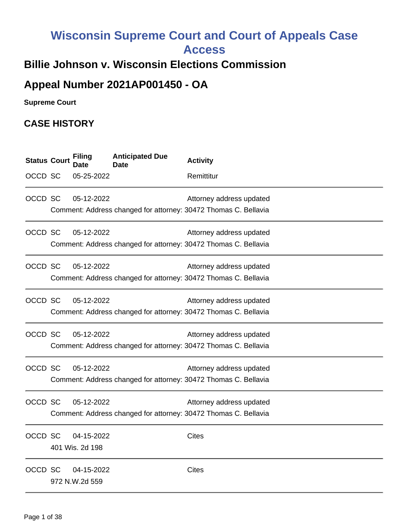# **Wisconsin Supreme Court and Court of Appeals Case Access**

## **Billie Johnson v. Wisconsin Elections Commission**

# **Appeal Number 2021AP001450 - OA**

**Supreme Court** 

## **CASE HISTORY**

| <b>Status Court</b> | <b>Filing</b><br>Date         | <b>Anticipated Due</b><br><b>Date</b> | <b>Activity</b>                                                                             |  |
|---------------------|-------------------------------|---------------------------------------|---------------------------------------------------------------------------------------------|--|
| OCCD SC             | 05-25-2022                    |                                       | Remittitur                                                                                  |  |
| OCCD SC             | 05-12-2022                    |                                       | Attorney address updated<br>Comment: Address changed for attorney: 30472 Thomas C. Bellavia |  |
|                     |                               |                                       |                                                                                             |  |
| OCCD SC             | 05-12-2022                    |                                       | Attorney address updated<br>Comment: Address changed for attorney: 30472 Thomas C. Bellavia |  |
| OCCD SC             | 05-12-2022                    |                                       | Attorney address updated<br>Comment: Address changed for attorney: 30472 Thomas C. Bellavia |  |
| OCCD SC             | 05-12-2022                    |                                       | Attorney address updated<br>Comment: Address changed for attorney: 30472 Thomas C. Bellavia |  |
| OCCD SC             | 05-12-2022                    |                                       | Attorney address updated<br>Comment: Address changed for attorney: 30472 Thomas C. Bellavia |  |
| OCCD SC             | 05-12-2022                    |                                       | Attorney address updated<br>Comment: Address changed for attorney: 30472 Thomas C. Bellavia |  |
| OCCD SC             | 05-12-2022                    |                                       | Attorney address updated<br>Comment: Address changed for attorney: 30472 Thomas C. Bellavia |  |
| OCCD SC             | 04-15-2022<br>401 Wis. 2d 198 |                                       | <b>Cites</b>                                                                                |  |
| OCCD SC             | 04-15-2022<br>972 N.W.2d 559  |                                       | <b>Cites</b>                                                                                |  |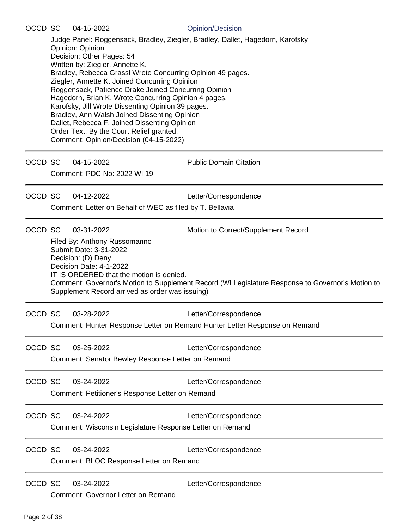Judge Panel: Roggensack, Bradley, Ziegler, Bradley, Dallet, Hagedorn, Karofsky Opinion: Opinion Decision: Other Pages: 54 Written by: Ziegler, Annette K. Bradley, Rebecca Grassl Wrote Concurring Opinion 49 pages. Ziegler, Annette K. Joined Concurring Opinion Roggensack, Patience Drake Joined Concurring Opinion Hagedorn, Brian K. Wrote Concurring Opinion 4 pages. Karofsky, Jill Wrote Dissenting Opinion 39 pages. Bradley, Ann Walsh Joined Dissenting Opinion Dallet, Rebecca F. Joined Dissenting Opinion Order Text: By the Court.Relief granted. Comment: Opinion/Decision (04-15-2022)

OCCD SC 04-15-2022 Public Domain Citation

Comment: PDC No: 2022 WI 19

OCCD SC 04-12-2022 Letter/Correspondence

Comment: Letter on Behalf of WEC as filed by T. Bellavia

OCCD SC 03-31-2022 Motion to Correct/Supplement Record

Filed By: Anthony Russomanno Submit Date: 3-31-2022 Decision: (D) Deny Decision Date: 4-1-2022 IT IS ORDERED that the motion is denied. Comment: Governor's Motion to Supplement Record (WI Legislature Response to Governor's Motion to Supplement Record arrived as order was issuing)

OCCD SC 03-28-2022 Letter/Correspondence

Comment: Hunter Response Letter on Remand Hunter Letter Response on Remand

OCCD SC 03-25-2022 Letter/Correspondence Comment: Senator Bewley Response Letter on Remand

OCCD SC 03-24-2022 Letter/Correspondence

Comment: Petitioner's Response Letter on Remand

OCCD SC 03-24-2022 Letter/Correspondence Comment: Wisconsin Legislature Response Letter on Remand

OCCD SC 03-24-2022 Letter/Correspondence Comment: BLOC Response Letter on Remand

OCCD SC 03-24-2022 Letter/Correspondence

Comment: Governor Letter on Remand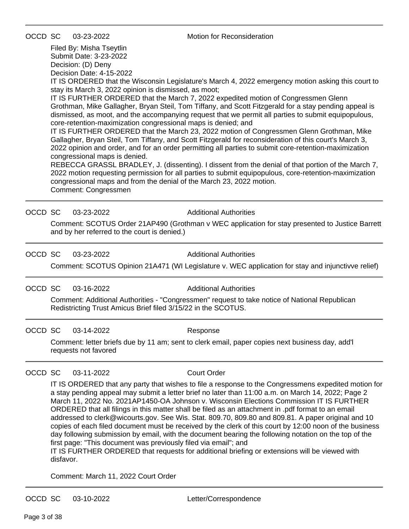Filed By: Misha Tseytlin Submit Date: 3-23-2022 Decision: (D) Deny

Decision Date: 4-15-2022

IT IS ORDERED that the Wisconsin Legislature's March 4, 2022 emergency motion asking this court to stay its March 3, 2022 opinion is dismissed, as moot;

IT IS FURTHER ORDERED that the March 7, 2022 expedited motion of Congressmen Glenn Grothman, Mike Gallagher, Bryan Steil, Tom Tiffany, and Scott Fitzgerald for a stay pending appeal is dismissed, as moot, and the accompanying request that we permit all parties to submit equipopulous, core-retention-maximization congressional maps is denied; and

IT IS FURTHER ORDERED that the March 23, 2022 motion of Congressmen Glenn Grothman, Mike Gallagher, Bryan Steil, Tom Tiffany, and Scott Fitzgerald for reconsideration of this court's March 3, 2022 opinion and order, and for an order permitting all parties to submit core-retention-maximization congressional maps is denied.

REBECCA GRASSL BRADLEY, J. (dissenting). I dissent from the denial of that portion of the March 7, 2022 motion requesting permission for all parties to submit equipopulous, core-retention-maximization congressional maps and from the denial of the March 23, 2022 motion.

Comment: Congressmen

OCCD SC 03-23-2022 Additional Authorities

Comment: SCOTUS Order 21AP490 (Grothman v WEC application for stay presented to Justice Barrett and by her referred to the court is denied.)

OCCD SC 03-23-2022 Additional Authorities

Comment: SCOTUS Opinion 21A471 (WI Legislature v. WEC application for stay and injunctivve relief)

OCCD SC 03-16-2022 Additional Authorities

Comment: Additional Authorities - "Congressmen" request to take notice of National Republican Redistricting Trust Amicus Brief filed 3/15/22 in the SCOTUS.

OCCD SC 03-14-2022 Response

Comment: letter briefs due by 11 am; sent to clerk email, paper copies next business day, add'l requests not favored

OCCD SC 03-11-2022 Court Order

IT IS ORDERED that any party that wishes to file a response to the Congressmens expedited motion for a stay pending appeal may submit a letter brief no later than 11:00 a.m. on March 14, 2022; Page 2 March 11, 2022 No. 2021AP1450-OA Johnson v. Wisconsin Elections Commission IT IS FURTHER ORDERED that all filings in this matter shall be filed as an attachment in .pdf format to an email addressed to clerk@wicourts.gov. See Wis. Stat. 809.70, 809.80 and 809.81. A paper original and 10 copies of each filed document must be received by the clerk of this court by 12:00 noon of the business day following submission by email, with the document bearing the following notation on the top of the first page: "This document was previously filed via email"; and

IT IS FURTHER ORDERED that requests for additional briefing or extensions will be viewed with disfavor.

Comment: March 11, 2022 Court Order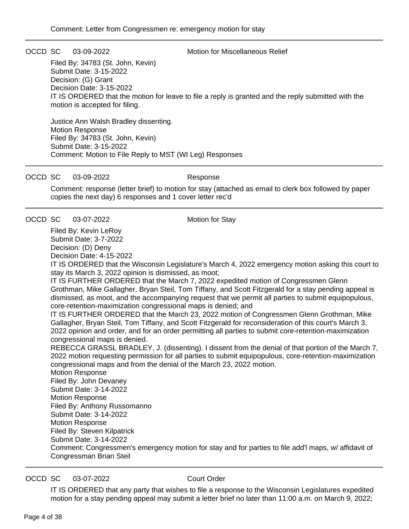OCCD SC 03-09-2022 Motion for Miscellaneous Relief

Filed By: 34783 (St. John, Kevin) Submit Date: 3-15-2022 Decision: (G) Grant Decision Date: 3-15-2022 IT IS ORDERED that the motion for leave to file a reply is granted and the reply submitted with the motion is accepted for filing.

Justice Ann Walsh Bradley dissenting. Motion Response Filed By: 34783 (St. John, Kevin) Submit Date: 3-15-2022 Comment: Motion to File Reply to MST (WI Leg) Responses

#### OCCD SC 03-09-2022 Response

Comment: response (letter brief) to motion for stay (attached as email to clerk box followed by paper copies the next day) 6 responses and 1 cover letter rec'd

OCCD SC 03-07-2022 Motion for Stay

Filed By: Kevin LeRoy Submit Date: 3-7-2022

Decision: (D) Deny Decision Date: 4-15-2022

IT IS ORDERED that the Wisconsin Legislature's March 4, 2022 emergency motion asking this court to stay its March 3, 2022 opinion is dismissed, as moot;

IT IS FURTHER ORDERED that the March 7, 2022 expedited motion of Congressmen Glenn Grothman, Mike Gallagher, Bryan Steil, Tom Tiffany, and Scott Fitzgerald for a stay pending appeal is dismissed, as moot, and the accompanying request that we permit all parties to submit equipopulous, core-retention-maximization congressional maps is denied; and

IT IS FURTHER ORDERED that the March 23, 2022 motion of Congressmen Glenn Grothman, Mike Gallagher, Bryan Steil, Tom Tiffany, and Scott Fitzgerald for reconsideration of this court's March 3, 2022 opinion and order, and for an order permitting all parties to submit core-retention-maximization congressional maps is denied.

REBECCA GRASSL BRADLEY, J. (dissenting). I dissent from the denial of that portion of the March 7, 2022 motion requesting permission for all parties to submit equipopulous, core-retention-maximization congressional maps and from the denial of the March 23, 2022 motion.

Motion Response Filed By: John Devaney Submit Date: 3-14-2022 Motion Response Filed By: Anthony Russomanno Submit Date: 3-14-2022 Motion Response Filed By: Steven Kilpatrick Submit Date: 3-14-2022 Comment: Congressmen's emergency motion for stay and for parties to file add'l maps, w/ affidavit of Congressman Brian Steil

#### OCCD SC 03-07-2022 Court Order

IT IS ORDERED that any party that wishes to file a response to the Wisconsin Legislatures expedited motion for a stay pending appeal may submit a letter brief no later than 11:00 a.m. on March 9, 2022;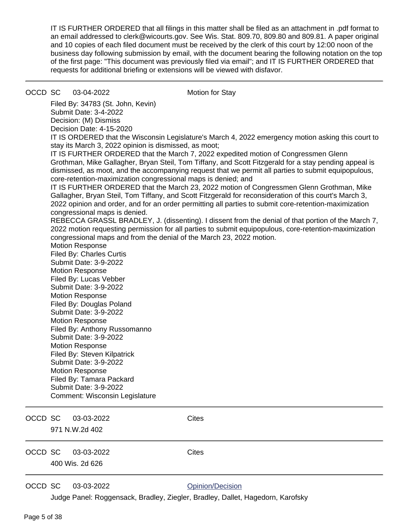IT IS FURTHER ORDERED that all filings in this matter shall be filed as an attachment in .pdf format to an email addressed to clerk@wicourts.gov. See Wis. Stat. 809.70, 809.80 and 809.81. A paper original and 10 copies of each filed document must be received by the clerk of this court by 12:00 noon of the business day following submission by email, with the document bearing the following notation on the top of the first page: "This document was previously filed via email"; and IT IS FURTHER ORDERED that requests for additional briefing or extensions will be viewed with disfavor.

### OCCD SC 03-04-2022 Motion for Stay

Filed By: 34783 (St. John, Kevin) Submit Date: 3-4-2022 Decision: (M) Dismiss Decision Date: 4-15-2020

IT IS ORDERED that the Wisconsin Legislature's March 4, 2022 emergency motion asking this court to stay its March 3, 2022 opinion is dismissed, as moot;

IT IS FURTHER ORDERED that the March 7, 2022 expedited motion of Congressmen Glenn Grothman, Mike Gallagher, Bryan Steil, Tom Tiffany, and Scott Fitzgerald for a stay pending appeal is dismissed, as moot, and the accompanying request that we permit all parties to submit equipopulous, core-retention-maximization congressional maps is denied; and

IT IS FURTHER ORDERED that the March 23, 2022 motion of Congressmen Glenn Grothman, Mike Gallagher, Bryan Steil, Tom Tiffany, and Scott Fitzgerald for reconsideration of this court's March 3, 2022 opinion and order, and for an order permitting all parties to submit core-retention-maximization congressional maps is denied.

REBECCA GRASSL BRADLEY, J. (dissenting). I dissent from the denial of that portion of the March 7, 2022 motion requesting permission for all parties to submit equipopulous, core-retention-maximization congressional maps and from the denial of the March 23, 2022 motion.

- Motion Response Filed By: Charles Curtis
- Submit Date: 3-9-2022 Motion Response Filed By: Lucas Vebber Submit Date: 3-9-2022 Motion Response Filed By: Douglas Poland Submit Date: 3-9-2022 Motion Response Filed By: Anthony Russomanno Submit Date: 3-9-2022 Motion Response Filed By: Steven Kilpatrick Submit Date: 3-9-2022 Motion Response Filed By: Tamara Packard Submit Date: 3-9-2022 Comment: Wisconsin Legislature

| OCCD SC | 03-03-2022<br>971 N.W.2d 402  | <b>Cites</b>     |
|---------|-------------------------------|------------------|
| OCCD SC | 03-03-2022<br>400 Wis. 2d 626 | <b>Cites</b>     |
| OCCD SC | 03-03-2022                    | Opinion/Decision |

Judge Panel: Roggensack, Bradley, Ziegler, Bradley, Dallet, Hagedorn, Karofsky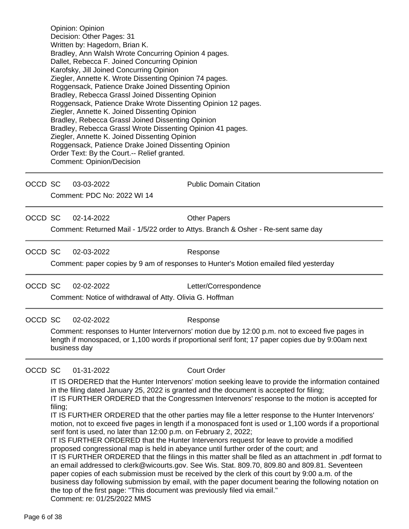Opinion: Opinion Decision: Other Pages: 31 Written by: Hagedorn, Brian K. Bradley, Ann Walsh Wrote Concurring Opinion 4 pages. Dallet, Rebecca F. Joined Concurring Opinion Karofsky, Jill Joined Concurring Opinion Ziegler, Annette K. Wrote Dissenting Opinion 74 pages. Roggensack, Patience Drake Joined Dissenting Opinion Bradley, Rebecca Grassl Joined Dissenting Opinion Roggensack, Patience Drake Wrote Dissenting Opinion 12 pages. Ziegler, Annette K. Joined Dissenting Opinion Bradley, Rebecca Grassl Joined Dissenting Opinion Bradley, Rebecca Grassl Wrote Dissenting Opinion 41 pages. Ziegler, Annette K. Joined Dissenting Opinion Roggensack, Patience Drake Joined Dissenting Opinion Order Text: By the Court.-- Relief granted. Comment: Opinion/Decision

OCCD SC 03-03-2022 Public Domain Citation

Comment: PDC No: 2022 WI 14

OCCD SC 02-14-2022 Other Papers

Comment: Returned Mail - 1/5/22 order to Attys. Branch & Osher - Re-sent same day

OCCD SC 02-03-2022 Response

Comment: paper copies by 9 am of responses to Hunter's Motion emailed filed yesterday

OCCD SC 02-02-2022 Letter/Correspondence

Comment: Notice of withdrawal of Atty. Olivia G. Hoffman

OCCD SC 02-02-2022 Response

Comment: responses to Hunter Intervernors' motion due by 12:00 p.m. not to exceed five pages in length if monospaced, or 1,100 words if proportional serif font; 17 paper copies due by 9:00am next business day

OCCD SC 01-31-2022 Court Order

IT IS ORDERED that the Hunter Intervenors' motion seeking leave to provide the information contained in the filing dated January 25, 2022 is granted and the document is accepted for filing;

IT IS FURTHER ORDERED that the Congressmen Intervenors' response to the motion is accepted for filing;

IT IS FURTHER ORDERED that the other parties may file a letter response to the Hunter Intervenors' motion, not to exceed five pages in length if a monospaced font is used or 1,100 words if a proportional serif font is used, no later than 12:00 p.m. on February 2, 2022;

IT IS FURTHER ORDERED that the Hunter Intervenors request for leave to provide a modified proposed congressional map is held in abeyance until further order of the court; and

IT IS FURTHER ORDERED that the filings in this matter shall be filed as an attachment in .pdf format to an email addressed to clerk@wicourts.gov. See Wis. Stat. 809.70, 809.80 and 809.81. Seventeen paper copies of each submission must be received by the clerk of this court by 9:00 a.m. of the business day following submission by email, with the paper document bearing the following notation on the top of the first page: "This document was previously filed via email." Comment: re: 01/25/2022 MMS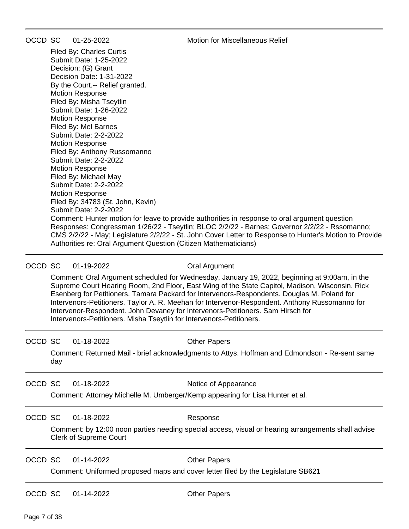OCCD SC 01-25-2022 Motion for Miscellaneous Relief

Filed By: Charles Curtis Submit Date: 1-25-2022 Decision: (G) Grant Decision Date: 1-31-2022 By the Court.-- Relief granted. Motion Response Filed By: Misha Tseytlin Submit Date: 1-26-2022 Motion Response Filed By: Mel Barnes Submit Date: 2-2-2022 Motion Response Filed By: Anthony Russomanno Submit Date: 2-2-2022 Motion Response Filed By: Michael May Submit Date: 2-2-2022 Motion Response Filed By: 34783 (St. John, Kevin) Submit Date: 2-2-2022 Comment: Hunter motion for leave to provide authorities in response to oral argument question Responses: Congressman 1/26/22 - Tseytlin; BLOC 2/2/22 - Barnes; Governor 2/2/22 - Rssomanno; CMS 2/2/22 - May; Legislature 2/2/22 - St. John Cover Letter to Response to Hunter's Motion to Provide Authorities re: Oral Argument Question (Citizen Mathematicians)

### OCCD SC 01-19-2022 COCO Cral Argument

Comment: Oral Argument scheduled for Wednesday, January 19, 2022, beginning at 9:00am, in the Supreme Court Hearing Room, 2nd Floor, East Wing of the State Capitol, Madison, Wisconsin. Rick Esenberg for Petitioners. Tamara Packard for Intervenors-Respondents. Douglas M. Poland for Intervenors-Petitioners. Taylor A. R. Meehan for Intervenor-Respondent. Anthony Russomanno for Intervenor-Respondent. John Devaney for Intervenors-Petitioners. Sam Hirsch for Intervenors-Petitioners. Misha Tseytlin for Intervenors-Petitioners.

### OCCD SC 01-18-2022 Quantity Other Papers

Comment: Returned Mail - brief acknowledgments to Attys. Hoffman and Edmondson - Re-sent same day

### OCCD SC 01-18-2022 Notice of Appearance

Comment: Attorney Michelle M. Umberger/Kemp appearing for Lisa Hunter et al.

### OCCD SC 01-18-2022 Response

Comment: by 12:00 noon parties needing special access, visual or hearing arrangements shall advise Clerk of Supreme Court

OCCD SC 01-14-2022 Other Papers

Comment: Uniformed proposed maps and cover letter filed by the Legislature SB621

OCCD SC 01-14-2022 Other Papers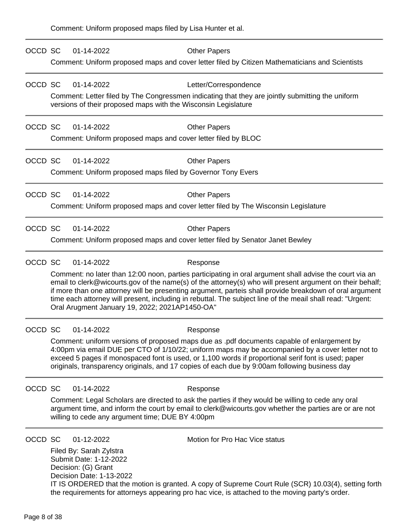| OCCD SC | 01-14-2022                                                                                           | <b>Other Papers</b>                                                                                                                                                                                                                                                                                                                                                                                                                          |
|---------|------------------------------------------------------------------------------------------------------|----------------------------------------------------------------------------------------------------------------------------------------------------------------------------------------------------------------------------------------------------------------------------------------------------------------------------------------------------------------------------------------------------------------------------------------------|
|         |                                                                                                      | Comment: Uniform proposed maps and cover letter filed by Citizen Mathematicians and Scientists                                                                                                                                                                                                                                                                                                                                               |
| OCCD SC | 01-14-2022                                                                                           | Letter/Correspondence                                                                                                                                                                                                                                                                                                                                                                                                                        |
|         | versions of their proposed maps with the Wisconsin Legislature                                       | Comment: Letter filed by The Congressmen indicating that they are jointly submitting the uniform                                                                                                                                                                                                                                                                                                                                             |
| OCCD SC | 01-14-2022                                                                                           | <b>Other Papers</b>                                                                                                                                                                                                                                                                                                                                                                                                                          |
|         |                                                                                                      | Comment: Uniform proposed maps and cover letter filed by BLOC                                                                                                                                                                                                                                                                                                                                                                                |
| OCCD SC | 01-14-2022                                                                                           | <b>Other Papers</b>                                                                                                                                                                                                                                                                                                                                                                                                                          |
|         | Comment: Uniform proposed maps filed by Governor Tony Evers                                          |                                                                                                                                                                                                                                                                                                                                                                                                                                              |
| OCCD SC | 01-14-2022                                                                                           | <b>Other Papers</b>                                                                                                                                                                                                                                                                                                                                                                                                                          |
|         |                                                                                                      | Comment: Uniform proposed maps and cover letter filed by The Wisconsin Legislature                                                                                                                                                                                                                                                                                                                                                           |
| OCCD SC | 01-14-2022                                                                                           | <b>Other Papers</b>                                                                                                                                                                                                                                                                                                                                                                                                                          |
|         |                                                                                                      | Comment: Uniform proposed maps and cover letter filed by Senator Janet Bewley                                                                                                                                                                                                                                                                                                                                                                |
| OCCD SC | 01-14-2022                                                                                           | Response                                                                                                                                                                                                                                                                                                                                                                                                                                     |
|         | Oral Arugment January 19, 2022; 2021AP1450-OA"                                                       | Comment: no later than 12:00 noon, parties participating in oral argument shall advise the court via an<br>email to clerk@wicourts.gov of the name(s) of the attorney(s) who will present argument on their behalf;<br>if more than one attorney will be presenting argument, parteis shall provide breakdown of oral argument<br>time each attorney will present, including in rebuttal. The subject line of the meail shall read: "Urgent: |
| OCCD SC | 01-14-2022                                                                                           | Response                                                                                                                                                                                                                                                                                                                                                                                                                                     |
|         |                                                                                                      | Comment: uniform versions of proposed maps due as .pdf documents capable of enlargement by<br>4:00pm via email DUE per CTO of 1/10/22; uniform maps may be accompanied by a cover letter not to<br>exceed 5 pages if monospaced font is used, or 1,100 words if proportional serif font is used; paper<br>originals, transparency originals, and 17 copies of each due by 9:00am following business day                                      |
| OCCD SC | 01-14-2022                                                                                           | Response                                                                                                                                                                                                                                                                                                                                                                                                                                     |
|         | willing to cede any argument time; DUE BY 4:00pm                                                     | Comment: Legal Scholars are directed to ask the parties if they would be willing to cede any oral<br>argument time, and inform the court by email to clerk@wicourts.gov whether the parties are or are not                                                                                                                                                                                                                                   |
| OCCD SC | 01-12-2022                                                                                           | Motion for Pro Hac Vice status                                                                                                                                                                                                                                                                                                                                                                                                               |
|         | Filed By: Sarah Zylstra<br>Submit Date: 1-12-2022<br>Decision: (G) Grant<br>Decision Date: 1-13-2022 | IT IS ORDERED that the motion is granted. A copy of Supreme Court Rule (SCR) 10.03(4), setting forth<br>the requirements for attorneys appearing pro hac vice, is attached to the moving party's order.                                                                                                                                                                                                                                      |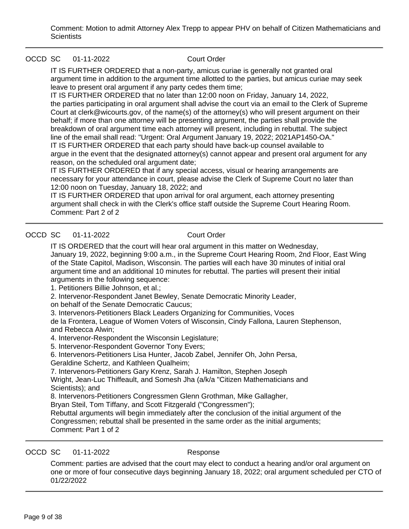Comment: Motion to admit Attorney Alex Trepp to appear PHV on behalf of Citizen Mathematicians and **Scientists** 

### OCCD SC 01-11-2022 Court Order

IT IS FURTHER ORDERED that a non-party, amicus curiae is generally not granted oral argument time in addition to the argument time allotted to the parties, but amicus curiae may seek leave to present oral argument if any party cedes them time;

IT IS FURTHER ORDERED that no later than 12:00 noon on Friday, January 14, 2022, the parties participating in oral argument shall advise the court via an email to the Clerk of Supreme Court at clerk@wicourts.gov, of the name(s) of the attorney(s) who will present argument on their behalf; if more than one attorney will be presenting argument, the parties shall provide the breakdown of oral argument time each attorney will present, including in rebuttal. The subject line of the email shall read: "Urgent: Oral Argument January 19, 2022; 2021AP1450-OA." IT IS FURTHER ORDERED that each party should have back-up counsel available to argue in the event that the designated attorney(s) cannot appear and present oral argument for any reason, on the scheduled oral argument date;

IT IS FURTHER ORDERED that if any special access, visual or hearing arrangements are necessary for your attendance in court, please advise the Clerk of Supreme Court no later than 12:00 noon on Tuesday, January 18, 2022; and

IT IS FURTHER ORDERED that upon arrival for oral argument, each attorney presenting argument shall check in with the Clerk's office staff outside the Supreme Court Hearing Room. Comment: Part 2 of 2

### OCCD SC 01-11-2022 Court Order

IT IS ORDERED that the court will hear oral argument in this matter on Wednesday, January 19, 2022, beginning 9:00 a.m., in the Supreme Court Hearing Room, 2nd Floor, East Wing of the State Capitol, Madison, Wisconsin. The parties will each have 30 minutes of initial oral argument time and an additional 10 minutes for rebuttal. The parties will present their initial arguments in the following sequence:

1. Petitioners Billie Johnson, et al.;

2. Intervenor-Respondent Janet Bewley, Senate Democratic Minority Leader,

on behalf of the Senate Democratic Caucus;

3. Intervenors-Petitioners Black Leaders Organizing for Communities, Voces

de la Frontera, League of Women Voters of Wisconsin, Cindy Fallona, Lauren Stephenson, and Rebecca Alwin;

4. Intervenor-Respondent the Wisconsin Legislature;

5. Intervenor-Respondent Governor Tony Evers;

6. Intervenors-Petitioners Lisa Hunter, Jacob Zabel, Jennifer Oh, John Persa,

Geraldine Schertz, and Kathleen Qualheim;

7. Intervenors-Petitioners Gary Krenz, Sarah J. Hamilton, Stephen Joseph

Wright, Jean-Luc Thiffeault, and Somesh Jha (a/k/a "Citizen Mathematicians and Scientists); and

8. Intervenors-Petitioners Congressmen Glenn Grothman, Mike Gallagher,

Bryan Steil, Tom Tiffany, and Scott Fitzgerald ("Congressmen");

Rebuttal arguments will begin immediately after the conclusion of the initial argument of the Congressmen; rebuttal shall be presented in the same order as the initial arguments; Comment: Part 1 of 2

### OCCD SC 01-11-2022 Response

Comment: parties are advised that the court may elect to conduct a hearing and/or oral argument on one or more of four consecutive days beginning January 18, 2022; oral argument scheduled per CTO of 01/22/2022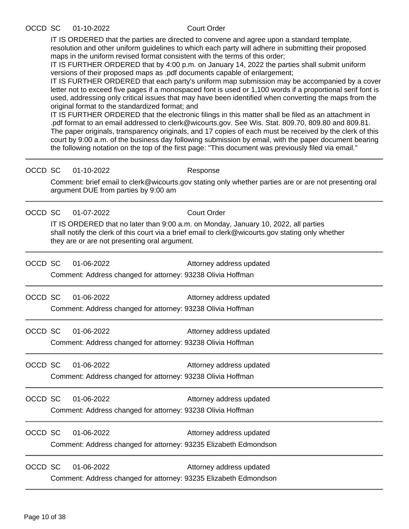### OCCD SC 01-10-2022 Court Order

IT IS ORDERED that the parties are directed to convene and agree upon a standard template, resolution and other uniform guidelines to which each party will adhere in submitting their proposed maps in the uniform revised format consistent with the terms of this order;

IT IS FURTHER ORDERED that by 4:00 p.m. on January 14, 2022 the parties shall submit uniform versions of their proposed maps as .pdf documents capable of enlargement;

IT IS FURTHER ORDERED that each party's uniform map submission may be accompanied by a cover letter not to exceed five pages if a monospaced font is used or 1,100 words if a proportional serif font is used, addressing only critical issues that may have been identified when converting the maps from the original format to the standardized format; and

IT IS FURTHER ORDERED that the electronic filings in this matter shall be filed as an attachment in .pdf format to an email addressed to clerk@wicourts.gov. See Wis. Stat. 809.70, 809.80 and 809.81. The paper originals, transparency originals, and 17 copies of each must be received by the clerk of this court by 9:00 a.m. of the business day following submission by email, with the paper document bearing the following notation on the top of the first page: "This document was previously filed via email."

| OCCD SC 01-10-2022 |  |
|--------------------|--|
|                    |  |

**Response** 

Comment: brief email to clerk@wicourts.gov stating only whether parties are or are not presenting oral argument DUE from parties by 9:00 am

OCCD SC 01-07-2022 Court Order

IT IS ORDERED that no later than 9:00 a.m. on Monday, January 10, 2022, all parties shall notify the clerk of this court via a brief email to clerk@wicourts.gov stating only whether they are or are not presenting oral argument.

| OCCD SC | 01-06-2022 | Attorney address updated |  |
|---------|------------|--------------------------|--|
|         |            |                          |  |

Comment: Address changed for attorney: 93238 Olivia Hoffman

OCCD SC 01-06-2022 Attorney address updated

Comment: Address changed for attorney: 93238 Olivia Hoffman

| OCCD SC | 01-06-2022 |  | Attorney address updated                                    |  |
|---------|------------|--|-------------------------------------------------------------|--|
|         |            |  | Comment: Address changed for attorney: 93238 Olivia Hoffman |  |

OCCD SC 01-06-2022 Attorney address updated Comment: Address changed for attorney: 93238 Olivia Hoffman

OCCD SC 01-06-2022 Attorney address updated Comment: Address changed for attorney: 93238 Olivia Hoffman

OCCD SC 01-06-2022 Attorney address updated Comment: Address changed for attorney: 93235 Elizabeth Edmondson

OCCD SC 01-06-2022 Attorney address updated Comment: Address changed for attorney: 93235 Elizabeth Edmondson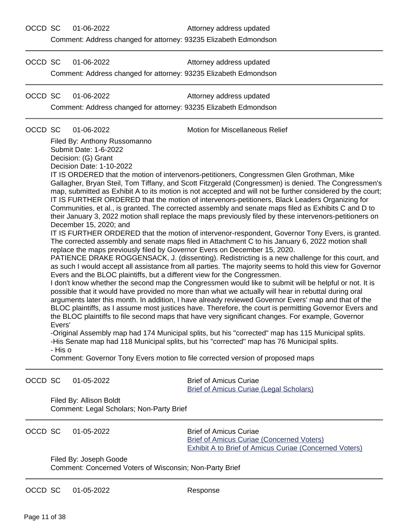OCCD SC 01-06-2022 Attorney address updated

Comment: Address changed for attorney: 93235 Elizabeth Edmondson

OCCD SC 01-06-2022 Attorney address updated Comment: Address changed for attorney: 93235 Elizabeth Edmondson

OCCD SC 01-06-2022 Attorney address updated Comment: Address changed for attorney: 93235 Elizabeth Edmondson

OCCD SC 01-06-2022 Motion for Miscellaneous Relief

Filed By: Anthony Russomanno Submit Date: 1-6-2022 Decision: (G) Grant Decision Date: 1-10-2022

IT IS ORDERED that the motion of intervenors-petitioners, Congressmen Glen Grothman, Mike Gallagher, Bryan Steil, Tom Tiffany, and Scott Fitzgerald (Congressmen) is denied. The Congressmen's map, submitted as Exhibit A to its motion is not accepted and will not be further considered by the court; IT IS FURTHER ORDERED that the motion of intervenors-petitioners, Black Leaders Organizing for Communities, et al., is granted. The corrected assembly and senate maps filed as Exhibits C and D to their January 3, 2022 motion shall replace the maps previously filed by these intervenors-petitioners on December 15, 2020; and

IT IS FURTHER ORDERED that the motion of intervenor-respondent, Governor Tony Evers, is granted. The corrected assembly and senate maps filed in Attachment C to his January 6, 2022 motion shall replace the maps previously filed by Governor Evers on December 15, 2020.

PATIENCE DRAKE ROGGENSACK, J. (dissenting). Redistricting is a new challenge for this court, and as such I would accept all assistance from all parties. The majority seems to hold this view for Governor Evers and the BLOC plaintiffs, but a different view for the Congressmen.

I don't know whether the second map the Congressmen would like to submit will be helpful or not. It is possible that it would have provided no more than what we actually will hear in rebuttal during oral arguments later this month. In addition, I have already reviewed Governor Evers' map and that of the BLOC plaintiffs, as I assume most justices have. Therefore, the court is permitting Governor Evers and the BLOC plaintiffs to file second maps that have very significant changes. For example, Governor Evers'

-Original Assembly map had 174 Municipal splits, but his "corrected" map has 115 Municipal splits. -His Senate map had 118 Municipal splits, but his "corrected" map has 76 Municipal splits. - His o

Comment: Governor Tony Evers motion to file corrected version of proposed maps

OCCD SC 01-05-2022 Brief of Amicus Curiae [Brief of Amicus Curiae \(Legal Scholars\)](https://acefiling.wicourts.gov/document/uploaded/2021AP001450/470570) Filed By: Allison Boldt Comment: Legal Scholars; Non-Party Brief OCCD SC 01-05-2022 Brief of Amicus Curiae [Brief of Amicus Curiae \(Concerned Voters\)](https://acefiling.wicourts.gov/document/eFiled/2021AP001450/470566) [Exhibit A to Brief of Amicus Curiae \(Concerned Voters\)](https://acefiling.wicourts.gov/document/eFiled/2021AP001450/470569) Filed By: Joseph Goode

Comment: Concerned Voters of Wisconsin; Non-Party Brief

OCCD SC 01-05-2022 Response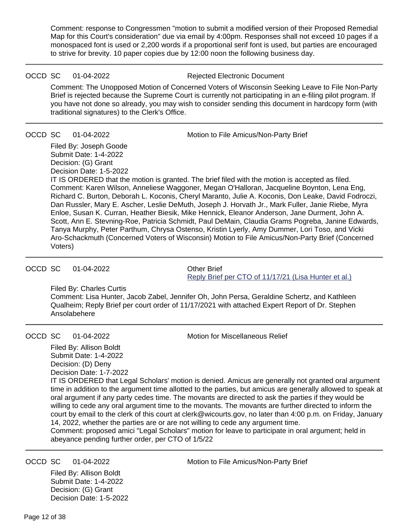Comment: response to Congressmen "motion to submit a modified version of their Proposed Remedial Map for this Court's consideration" due via email by 4:00pm. Responses shall not exceed 10 pages if a monospaced font is used or 2,200 words if a proportional serif font is used, but parties are encouraged to strive for brevity. 10 paper copies due by 12:00 noon the following business day.

OCCD SC 01-04-2022 Rejected Electronic Document

Comment: The Unopposed Motion of Concerned Voters of Wisconsin Seeking Leave to File Non-Party Brief is rejected because the Supreme Court is currently not participating in an e-filing pilot program. If you have not done so already, you may wish to consider sending this document in hardcopy form (with traditional signatures) to the Clerk's Office.

OCCD SC 01-04-2022 Motion to File Amicus/Non-Party Brief

Filed By: Joseph Goode Submit Date: 1-4-2022 Decision: (G) Grant Decision Date: 1-5-2022 IT IS ORDERED that the motion is granted. The brief filed with the motion is accepted as filed. Comment: Karen Wilson, Anneliese Waggoner, Megan O'Halloran, Jacqueline Boynton, Lena Eng, Richard C. Burton, Deborah L. Koconis, Cheryl Maranto, Julie A. Koconis, Don Leake, David Fodroczi, Dan Russler, Mary E. Ascher, Leslie DeMuth, Joseph J. Horvath Jr., Mark Fuller, Janie Riebe, Myra Enloe, Susan K. Curran, Heather Biesik, Mike Hennick, Eleanor Anderson, Jane Durment, John A. Scott, Ann E. Stevning-Roe, Patricia Schmidt, Paul DeMain, Claudia Grams Pogreba, Janine Edwards, Tanya Murphy, Peter Parthum, Chrysa Ostenso, Kristin Lyerly, Amy Dummer, Lori Toso, and Vicki

OCCD SC 01-04-2022 Other Brief

Voters)

[Reply Brief per CTO of 11/17/21 \(Lisa Hunter et al.\)](https://acefiling.wicourts.gov/document/uploaded/2021AP001450/470226)

Filed By: Charles Curtis

Comment: Lisa Hunter, Jacob Zabel, Jennifer Oh, John Persa, Geraldine Schertz, and Kathleen Qualheim; Reply Brief per court order of 11/17/2021 with attached Expert Report of Dr. Stephen Ansolabehere

Aro-Schackmuth (Concerned Voters of Wisconsin) Motion to File Amicus/Non-Party Brief (Concerned

OCCD SC 01-04-2022 Motion for Miscellaneous Relief

Filed By: Allison Boldt Submit Date: 1-4-2022 Decision: (D) Deny Decision Date: 1-7-2022 IT IS ORDERED that Legal Scholars' motion is denied. Amicus are generally not granted oral argument time in addition to the argument time allotted to the parties, but amicus are generally allowed to speak at oral argument if any party cedes time. The movants are directed to ask the parties if they would be willing to cede any oral argument time to the movants. The movants are further directed to inform the court by email to the clerk of this court at clerk@wicourts.gov, no later than 4:00 p.m. on Friday, January 14, 2022, whether the parties are or are not willing to cede any argument time.

Comment: proposed amici "Legal Scholars" motion for leave to participate in oral argument; held in abeyance pending further order, per CTO of 1/5/22

Filed By: Allison Boldt Submit Date: 1-4-2022 Decision: (G) Grant Decision Date: 1-5-2022

OCCD SC 01-04-2022 Motion to File Amicus/Non-Party Brief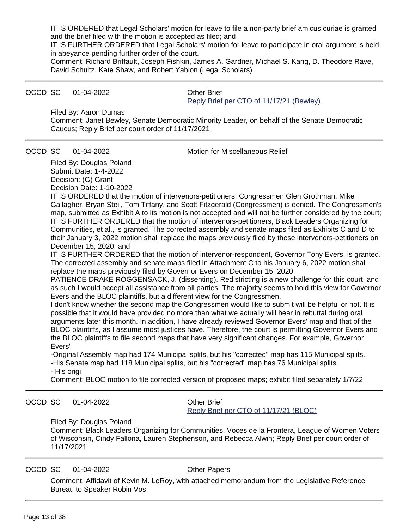IT IS ORDERED that Legal Scholars' motion for leave to file a non-party brief amicus curiae is granted and the brief filed with the motion is accepted as filed; and

IT IS FURTHER ORDERED that Legal Scholars' motion for leave to participate in oral argument is held in abeyance pending further order of the court.

Comment: Richard Briffault, Joseph Fishkin, James A. Gardner, Michael S. Kang, D. Theodore Rave, David Schultz, Kate Shaw, and Robert Yablon (Legal Scholars)

### OCCD SC 01-04-2022 Other Brief

[Reply Brief per CTO of 11/17/21 \(Bewley\)](https://acefiling.wicourts.gov/document/uploaded/2021AP001450/470190)

Filed By: Aaron Dumas

Comment: Janet Bewley, Senate Democratic Minority Leader, on behalf of the Senate Democratic Caucus; Reply Brief per court order of 11/17/2021

OCCD SC 01-04-2022 Motion for Miscellaneous Relief

Filed By: Douglas Poland Submit Date: 1-4-2022 Decision: (G) Grant Decision Date: 1-10-2022

IT IS ORDERED that the motion of intervenors-petitioners, Congressmen Glen Grothman, Mike Gallagher, Bryan Steil, Tom Tiffany, and Scott Fitzgerald (Congressmen) is denied. The Congressmen's map, submitted as Exhibit A to its motion is not accepted and will not be further considered by the court; IT IS FURTHER ORDERED that the motion of intervenors-petitioners, Black Leaders Organizing for Communities, et al., is granted. The corrected assembly and senate maps filed as Exhibits C and D to their January 3, 2022 motion shall replace the maps previously filed by these intervenors-petitioners on December 15, 2020; and

IT IS FURTHER ORDERED that the motion of intervenor-respondent, Governor Tony Evers, is granted. The corrected assembly and senate maps filed in Attachment C to his January 6, 2022 motion shall replace the maps previously filed by Governor Evers on December 15, 2020.

PATIENCE DRAKE ROGGENSACK, J. (dissenting). Redistricting is a new challenge for this court, and as such I would accept all assistance from all parties. The majority seems to hold this view for Governor Evers and the BLOC plaintiffs, but a different view for the Congressmen.

I don't know whether the second map the Congressmen would like to submit will be helpful or not. It is possible that it would have provided no more than what we actually will hear in rebuttal during oral arguments later this month. In addition, I have already reviewed Governor Evers' map and that of the BLOC plaintiffs, as I assume most justices have. Therefore, the court is permitting Governor Evers and the BLOC plaintiffs to file second maps that have very significant changes. For example, Governor Evers'

-Original Assembly map had 174 Municipal splits, but his "corrected" map has 115 Municipal splits. -His Senate map had 118 Municipal splits, but his "corrected" map has 76 Municipal splits. - His origi

Comment: BLOC motion to file corrected version of proposed maps; exhibit filed separately 1/7/22

OCCD SC 01-04-2022 Other Brief

[Reply Brief per CTO of 11/17/21 \(BLOC\)](https://acefiling.wicourts.gov/document/uploaded/2021AP001450/470180)

#### Filed By: Douglas Poland

Comment: Black Leaders Organizing for Communities, Voces de la Frontera, League of Women Voters of Wisconsin, Cindy Fallona, Lauren Stephenson, and Rebecca Alwin; Reply Brief per court order of 11/17/2021

OCCD SC 01-04-2022 Other Papers

Comment: Affidavit of Kevin M. LeRoy, with attached memorandum from the Legislative Reference Bureau to Speaker Robin Vos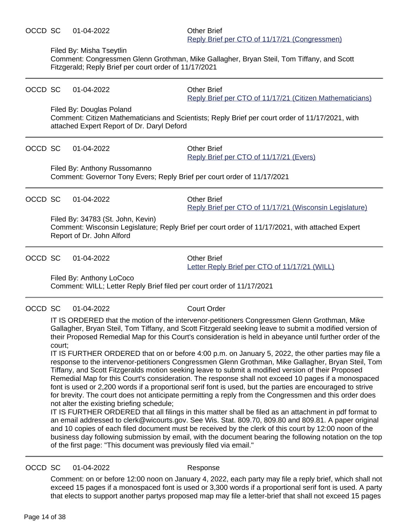#### Filed By: Misha Tseytlin

Comment: Congressmen Glenn Grothman, Mike Gallagher, Bryan Steil, Tom Tiffany, and Scott Fitzgerald; Reply Brief per court order of 11/17/2021

| OCCD SC | 01-04-2022                                                                                              | <b>Other Brief</b><br>Reply Brief per CTO of 11/17/21 (Citizen Mathematicians)                  |  |  |
|---------|---------------------------------------------------------------------------------------------------------|-------------------------------------------------------------------------------------------------|--|--|
|         | Filed By: Douglas Poland<br>attached Expert Report of Dr. Daryl Deford                                  | Comment: Citizen Mathematicians and Scientists; Reply Brief per court order of 11/17/2021, with |  |  |
| OCCD SC | 01-04-2022                                                                                              | <b>Other Brief</b><br>Reply Brief per CTO of 11/17/21 (Evers)                                   |  |  |
|         | Filed By: Anthony Russomanno<br>Comment: Governor Tony Evers; Reply Brief per court order of 11/17/2021 |                                                                                                 |  |  |
| OCCD SC | 01-04-2022                                                                                              | <b>Other Brief</b><br>Reply Brief per CTO of 11/17/21 (Wisconsin Legislature)                   |  |  |
|         | Filed By: 34783 (St. John, Kevin)<br>Report of Dr. John Alford                                          | Comment: Wisconsin Legislature; Reply Brief per court order of 11/17/2021, with attached Expert |  |  |
|         |                                                                                                         |                                                                                                 |  |  |

OCCD SC 01-04-2022 Other Brief

[Letter Reply Brief per CTO of 11/17/21 \(WILL\)](https://acefiling.wicourts.gov/document/uploaded/2021AP001450/470107)

Filed By: Anthony LoCoco

Comment: WILL; Letter Reply Brief filed per court order of 11/17/2021

OCCD SC 01-04-2022 Court Order

IT IS ORDERED that the motion of the intervenor-petitioners Congressmen Glenn Grothman, Mike Gallagher, Bryan Steil, Tom Tiffany, and Scott Fitzgerald seeking leave to submit a modified version of their Proposed Remedial Map for this Court's consideration is held in abeyance until further order of the court;

IT IS FURTHER ORDERED that on or before 4:00 p.m. on January 5, 2022, the other parties may file a response to the intervenor-petitioners Congressmen Glenn Grothman, Mike Gallagher, Bryan Steil, Tom Tiffany, and Scott Fitzgeralds motion seeking leave to submit a modified version of their Proposed Remedial Map for this Court's consideration. The response shall not exceed 10 pages if a monospaced font is used or 2,200 words if a proportional serif font is used, but the parties are encouraged to strive for brevity. The court does not anticipate permitting a reply from the Congressmen and this order does not alter the existing briefing schedule;

IT IS FURTHER ORDERED that all filings in this matter shall be filed as an attachment in pdf format to an email addressed to clerk@wicourts.gov. See Wis. Stat. 809.70, 809.80 and 809.81. A paper original and 10 copies of each filed document must be received by the clerk of this court by 12:00 noon of the business day following submission by email, with the document bearing the following notation on the top of the first page: "This document was previously filed via email."

#### OCCD SC 01-04-2022 Response

Comment: on or before 12:00 noon on January 4, 2022, each party may file a reply brief, which shall not exceed 15 pages if a monospaced font is used or 3,300 words if a proportional serif font is used. A party that elects to support another partys proposed map may file a letter-brief that shall not exceed 15 pages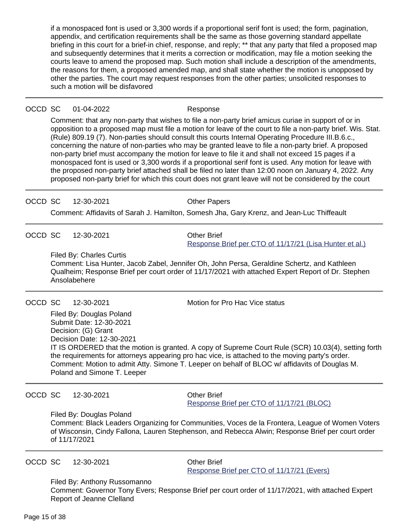if a monospaced font is used or 3,300 words if a proportional serif font is used; the form, pagination, appendix, and certification requirements shall be the same as those governing standard appellate briefing in this court for a brief-in chief, response, and reply; \*\* that any party that filed a proposed map and subsequently determines that it merits a correction or modification, may file a motion seeking the courts leave to amend the proposed map. Such motion shall include a description of the amendments, the reasons for them, a proposed amended map, and shall state whether the motion is unopposed by other the parties. The court may request responses from the other parties; unsolicited responses to such a motion will be disfavored

| OCCD SC | 01-04-2022 |
|---------|------------|
|---------|------------|

Response

Comment: that any non-party that wishes to file a non-party brief amicus curiae in support of or in opposition to a proposed map must file a motion for leave of the court to file a non-party brief. Wis. Stat. (Rule) 809.19 (7). Non-parties should consult this courts Internal Operating Procedure III.B.6.c., concerning the nature of non-parties who may be granted leave to file a non-party brief. A proposed non-party brief must accompany the motion for leave to file it and shall not exceed 15 pages if a monospaced font is used or 3,300 words if a proportional serif font is used. Any motion for leave with the proposed non-party brief attached shall be filed no later than 12:00 noon on January 4, 2022. Any proposed non-party brief for which this court does not grant leave will not be considered by the court

OCCD SC 12-30-2021 Quarter Papers

Comment: Affidavits of Sarah J. Hamilton, Somesh Jha, Gary Krenz, and Jean-Luc Thiffeault

OCCD SC 12-30-2021 Other Brief

[Response Brief per CTO of 11/17/21 \(Lisa Hunter et al.\)](https://acefiling.wicourts.gov/document/uploaded/2021AP001450/469249)

Filed By: Charles Curtis

Comment: Lisa Hunter, Jacob Zabel, Jennifer Oh, John Persa, Geraldine Schertz, and Kathleen Qualheim; Response Brief per court order of 11/17/2021 with attached Expert Report of Dr. Stephen Ansolabehere

OCCD SC 12-30-2021 Motion for Pro Hac Vice status

Filed By: Douglas Poland Submit Date: 12-30-2021 Decision: (G) Grant Decision Date: 12-30-2021 IT IS ORDERED that the motion is granted. A copy of Supreme Court Rule (SCR) 10.03(4), setting forth the requirements for attorneys appearing pro hac vice, is attached to the moving party's order. Comment: Motion to admit Atty. Simone T. Leeper on behalf of BLOC w/ affidavits of Douglas M. Poland and Simone T. Leeper

OCCD SC 12-30-2021 Other Brief

[Response Brief per CTO of 11/17/21 \(BLOC\)](https://acefiling.wicourts.gov/document/uploaded/2021AP001450/469244)

Filed By: Douglas Poland

Comment: Black Leaders Organizing for Communities, Voces de la Frontera, League of Women Voters of Wisconsin, Cindy Fallona, Lauren Stephenson, and Rebecca Alwin; Response Brief per court order of 11/17/2021

OCCD SC 12-30-2021 Other Brief

[Response Brief per CTO of 11/17/21 \(Evers\)](https://acefiling.wicourts.gov/document/uploaded/2021AP001450/469240)

Filed By: Anthony Russomanno Comment: Governor Tony Evers; Response Brief per court order of 11/17/2021, with attached Expert Report of Jeanne Clelland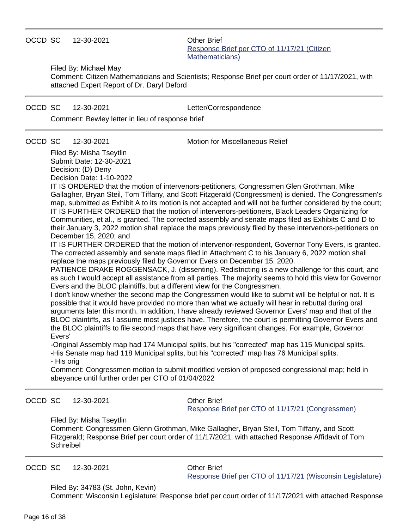### OCCD SC 12-30-2021 Other Brief

[Response Brief per CTO of 11/17/21 \(Citizen](https://acefiling.wicourts.gov/document/uploaded/2021AP001450/469236) [Mathematicians\)](https://acefiling.wicourts.gov/document/uploaded/2021AP001450/469236)

Filed By: Michael May

Comment: Citizen Mathematicians and Scientists; Response Brief per court order of 11/17/2021, with attached Expert Report of Dr. Daryl Deford

### OCCD SC 12-30-2021 Letter/Correspondence

Comment: Bewley letter in lieu of response brief

OCCD SC 12-30-2021 Motion for Miscellaneous Relief

Filed By: Misha Tseytlin Submit Date: 12-30-2021 Decision: (D) Deny Decision Date: 1-10-2022

IT IS ORDERED that the motion of intervenors-petitioners, Congressmen Glen Grothman, Mike Gallagher, Bryan Steil, Tom Tiffany, and Scott Fitzgerald (Congressmen) is denied. The Congressmen's map, submitted as Exhibit A to its motion is not accepted and will not be further considered by the court; IT IS FURTHER ORDERED that the motion of intervenors-petitioners, Black Leaders Organizing for Communities, et al., is granted. The corrected assembly and senate maps filed as Exhibits C and D to their January 3, 2022 motion shall replace the maps previously filed by these intervenors-petitioners on December 15, 2020; and

IT IS FURTHER ORDERED that the motion of intervenor-respondent, Governor Tony Evers, is granted. The corrected assembly and senate maps filed in Attachment C to his January 6, 2022 motion shall replace the maps previously filed by Governor Evers on December 15, 2020.

PATIENCE DRAKE ROGGENSACK, J. (dissenting). Redistricting is a new challenge for this court, and as such I would accept all assistance from all parties. The majority seems to hold this view for Governor Evers and the BLOC plaintiffs, but a different view for the Congressmen.

I don't know whether the second map the Congressmen would like to submit will be helpful or not. It is possible that it would have provided no more than what we actually will hear in rebuttal during oral arguments later this month. In addition, I have already reviewed Governor Evers' map and that of the BLOC plaintiffs, as I assume most justices have. Therefore, the court is permitting Governor Evers and the BLOC plaintiffs to file second maps that have very significant changes. For example, Governor Evers'

-Original Assembly map had 174 Municipal splits, but his "corrected" map has 115 Municipal splits. -His Senate map had 118 Municipal splits, but his "corrected" map has 76 Municipal splits.

- His orig

Comment: Congressmen motion to submit modified version of proposed congressional map; held in abeyance until further order per CTO of 01/04/2022

OCCD SC 12-30-2021 Other Brief

[Response Brief per CTO of 11/17/21 \(Congressmen\)](https://acefiling.wicourts.gov/document/uploaded/2021AP001450/469230)

#### Filed By: Misha Tseytlin

Comment: Congressmen Glenn Grothman, Mike Gallagher, Bryan Steil, Tom Tiffany, and Scott Fitzgerald; Response Brief per court order of 11/17/2021, with attached Response Affidavit of Tom **Schreibel** 

OCCD SC 12-30-2021 Other Brief

[Response Brief per CTO of 11/17/21 \(Wisconsin Legislature\)](https://acefiling.wicourts.gov/document/uploaded/2021AP001450/469225)

Filed By: 34783 (St. John, Kevin)

Comment: Wisconsin Legislature; Response brief per court order of 11/17/2021 with attached Response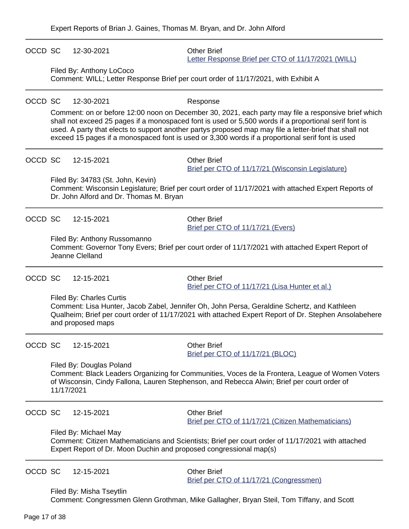| OCCD SC | 12-30-2021                                                                                                                                                                                                                                            | <b>Other Brief</b><br>Letter Response Brief per CTO of 11/17/2021 (WILL)                                                                                                                                                                                                                                                                                                                                                    |  |  |
|---------|-------------------------------------------------------------------------------------------------------------------------------------------------------------------------------------------------------------------------------------------------------|-----------------------------------------------------------------------------------------------------------------------------------------------------------------------------------------------------------------------------------------------------------------------------------------------------------------------------------------------------------------------------------------------------------------------------|--|--|
|         | Filed By: Anthony LoCoco                                                                                                                                                                                                                              | Comment: WILL; Letter Response Brief per court order of 11/17/2021, with Exhibit A                                                                                                                                                                                                                                                                                                                                          |  |  |
| OCCD SC | 12-30-2021                                                                                                                                                                                                                                            | Response                                                                                                                                                                                                                                                                                                                                                                                                                    |  |  |
|         |                                                                                                                                                                                                                                                       | Comment: on or before 12:00 noon on December 30, 2021, each party may file a responsive brief which<br>shall not exceed 25 pages if a monospaced font is used or 5,500 words if a proportional serif font is<br>used. A party that elects to support another partys proposed map may file a letter-brief that shall not<br>exceed 15 pages if a monospaced font is used or 3,300 words if a proportional serif font is used |  |  |
| OCCD SC | 12-15-2021                                                                                                                                                                                                                                            | <b>Other Brief</b><br>Brief per CTO of 11/17/21 (Wisconsin Legislature)                                                                                                                                                                                                                                                                                                                                                     |  |  |
|         | Filed By: 34783 (St. John, Kevin)<br>Dr. John Alford and Dr. Thomas M. Bryan                                                                                                                                                                          | Comment: Wisconsin Legislature; Brief per court order of 11/17/2021 with attached Expert Reports of                                                                                                                                                                                                                                                                                                                         |  |  |
| OCCD SC | 12-15-2021                                                                                                                                                                                                                                            | <b>Other Brief</b><br>Brief per CTO of 11/17/21 (Evers)                                                                                                                                                                                                                                                                                                                                                                     |  |  |
|         | Filed By: Anthony Russomanno<br>Jeanne Clelland                                                                                                                                                                                                       | Comment: Governor Tony Evers; Brief per court order of 11/17/2021 with attached Expert Report of                                                                                                                                                                                                                                                                                                                            |  |  |
| OCCD SC | 12-15-2021                                                                                                                                                                                                                                            | <b>Other Brief</b><br>Brief per CTO of 11/17/21 (Lisa Hunter et al.)                                                                                                                                                                                                                                                                                                                                                        |  |  |
|         | Filed By: Charles Curtis<br>Comment: Lisa Hunter, Jacob Zabel, Jennifer Oh, John Persa, Geraldine Schertz, and Kathleen<br>Qualheim; Brief per court order of 11/17/2021 with attached Expert Report of Dr. Stephen Ansolabehere<br>and proposed maps |                                                                                                                                                                                                                                                                                                                                                                                                                             |  |  |
| OCCD SC | 12-15-2021                                                                                                                                                                                                                                            | <b>Other Brief</b><br>Brief per CTO of 11/17/21 (BLOC)                                                                                                                                                                                                                                                                                                                                                                      |  |  |
|         | Filed By: Douglas Poland<br>11/17/2021                                                                                                                                                                                                                | Comment: Black Leaders Organizing for Communities, Voces de la Frontera, League of Women Voters<br>of Wisconsin, Cindy Fallona, Lauren Stephenson, and Rebecca Alwin; Brief per court order of                                                                                                                                                                                                                              |  |  |
| OCCD SC | 12-15-2021                                                                                                                                                                                                                                            | <b>Other Brief</b><br>Brief per CTO of 11/17/21 (Citizen Mathematicians)                                                                                                                                                                                                                                                                                                                                                    |  |  |
|         | Filed By: Michael May<br>Comment: Citizen Mathematicians and Scientists; Brief per court order of 11/17/2021 with attached<br>Expert Report of Dr. Moon Duchin and proposed congressional map(s)                                                      |                                                                                                                                                                                                                                                                                                                                                                                                                             |  |  |
| OCCD SC | 12-15-2021                                                                                                                                                                                                                                            | <b>Other Brief</b><br>Brief per CTO of 11/17/21 (Congressmen)                                                                                                                                                                                                                                                                                                                                                               |  |  |
|         | Filed By: Misha Tseytlin                                                                                                                                                                                                                              | Comment: Congressmen Glenn Grothman, Mike Gallagher, Bryan Steil, Tom Tiffany, and Scott                                                                                                                                                                                                                                                                                                                                    |  |  |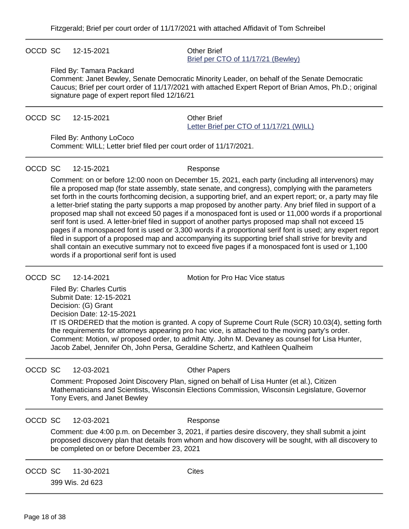### OCCD SC 12-15-2021 Other Brief

# [Brief per CTO of 11/17/21 \(Bewley\)](https://acefiling.wicourts.gov/document/uploaded/2021AP001450/464611)

#### Filed By: Tamara Packard

Comment: Janet Bewley, Senate Democratic Minority Leader, on behalf of the Senate Democratic Caucus; Brief per court order of 11/17/2021 with attached Expert Report of Brian Amos, Ph.D.; original signature page of expert report filed 12/16/21

#### OCCD SC 12-15-2021 Other Brief

# [Letter Brief per CTO of 11/17/21 \(WILL\)](https://acefiling.wicourts.gov/document/uploaded/2021AP001450/464556)

Filed By: Anthony LoCoco

Comment: WILL; Letter brief filed per court order of 11/17/2021.

### OCCD SC 12-15-2021 Response

Comment: on or before 12:00 noon on December 15, 2021, each party (including all intervenors) may file a proposed map (for state assembly, state senate, and congress), complying with the parameters set forth in the courts forthcoming decision, a supporting brief, and an expert report; or, a party may file a letter-brief stating the party supports a map proposed by another party. Any brief filed in support of a proposed map shall not exceed 50 pages if a monospaced font is used or 11,000 words if a proportional serif font is used. A letter-brief filed in support of another partys proposed map shall not exceed 15 pages if a monospaced font is used or 3,300 words if a proportional serif font is used; any expert report filed in support of a proposed map and accompanying its supporting brief shall strive for brevity and shall contain an executive summary not to exceed five pages if a monospaced font is used or 1,100 words if a proportional serif font is used

OCCD SC 12-14-2021 Motion for Pro Hac Vice status

Filed By: Charles Curtis Submit Date: 12-15-2021 Decision: (G) Grant Decision Date: 12-15-2021 IT IS ORDERED that the motion is granted. A copy of Supreme Court Rule (SCR) 10.03(4), setting forth the requirements for attorneys appearing pro hac vice, is attached to the moving party's order. Comment: Motion, w/ proposed order, to admit Atty. John M. Devaney as counsel for Lisa Hunter, Jacob Zabel, Jennifer Oh, John Persa, Geraldine Schertz, and Kathleen Qualheim

#### OCCD SC 12-03-2021 COLLET CHARGIST

Comment: Proposed Joint Discovery Plan, signed on behalf of Lisa Hunter (et al.), Citizen Mathematicians and Scientists, Wisconsin Elections Commission, Wisconsin Legislature, Governor Tony Evers, and Janet Bewley

#### OCCD SC 12-03-2021 Response

Comment: due 4:00 p.m. on December 3, 2021, if parties desire discovery, they shall submit a joint proposed discovery plan that details from whom and how discovery will be sought, with all discovery to be completed on or before December 23, 2021

OCCD SC 11-30-2021 Cites

399 Wis. 2d 623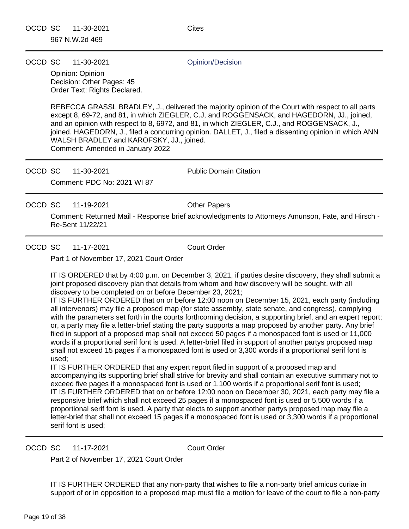OCCD SC 11-30-2021 Quinion/Decision

Opinion: Opinion Decision: Other Pages: 45 Order Text: Rights Declared.

REBECCA GRASSL BRADLEY, J., delivered the majority opinion of the Court with respect to all parts except 8, 69-72, and 81, in which ZIEGLER, C.J, and ROGGENSACK, and HAGEDORN, JJ., joined, and an opinion with respect to 8, 6972, and 81, in which ZIEGLER, C.J., and ROGGENSACK, J., joined. HAGEDORN, J., filed a concurring opinion. DALLET, J., filed a dissenting opinion in which ANN WALSH BRADLEY and KAROFSKY, JJ., joined. Comment: Amended in January 2022

OCCD SC 11-30-2021 Public Domain Citation Comment: PDC No: 2021 WI 87

OCCD SC 11-19-2021 Other Papers

Comment: Returned Mail - Response brief acknowledgments to Attorneys Amunson, Fate, and Hirsch - Re-Sent 11/22/21

OCCD SC 11-17-2021 Court Order

Part 1 of November 17, 2021 Court Order

IT IS ORDERED that by 4:00 p.m. on December 3, 2021, if parties desire discovery, they shall submit a joint proposed discovery plan that details from whom and how discovery will be sought, with all discovery to be completed on or before December 23, 2021;

IT IS FURTHER ORDERED that on or before 12:00 noon on December 15, 2021, each party (including all intervenors) may file a proposed map (for state assembly, state senate, and congress), complying with the parameters set forth in the courts forthcoming decision, a supporting brief, and an expert report; or, a party may file a letter-brief stating the party supports a map proposed by another party. Any brief filed in support of a proposed map shall not exceed 50 pages if a monospaced font is used or 11,000 words if a proportional serif font is used. A letter-brief filed in support of another partys proposed map shall not exceed 15 pages if a monospaced font is used or 3,300 words if a proportional serif font is used;

IT IS FURTHER ORDERED that any expert report filed in support of a proposed map and accompanying its supporting brief shall strive for brevity and shall contain an executive summary not to exceed five pages if a monospaced font is used or 1,100 words if a proportional serif font is used; IT IS FURTHER ORDERED that on or before 12:00 noon on December 30, 2021, each party may file a responsive brief which shall not exceed 25 pages if a monospaced font is used or 5,500 words if a proportional serif font is used. A party that elects to support another partys proposed map may file a letter-brief that shall not exceed 15 pages if a monospaced font is used or 3,300 words if a proportional serif font is used;

OCCD SC 11-17-2021 Court Order

Part 2 of November 17, 2021 Court Order

IT IS FURTHER ORDERED that any non-party that wishes to file a non-party brief amicus curiae in support of or in opposition to a proposed map must file a motion for leave of the court to file a non-party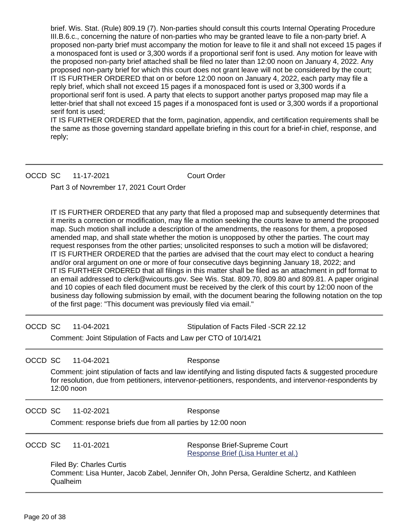brief. Wis. Stat. (Rule) 809.19 (7). Non-parties should consult this courts Internal Operating Procedure III.B.6.c., concerning the nature of non-parties who may be granted leave to file a non-party brief. A proposed non-party brief must accompany the motion for leave to file it and shall not exceed 15 pages if a monospaced font is used or 3,300 words if a proportional serif font is used. Any motion for leave with the proposed non-party brief attached shall be filed no later than 12:00 noon on January 4, 2022. Any proposed non-party brief for which this court does not grant leave will not be considered by the court; IT IS FURTHER ORDERED that on or before 12:00 noon on January 4, 2022, each party may file a reply brief, which shall not exceed 15 pages if a monospaced font is used or 3,300 words if a proportional serif font is used. A party that elects to support another partys proposed map may file a letter-brief that shall not exceed 15 pages if a monospaced font is used or 3,300 words if a proportional serif font is used;

IT IS FURTHER ORDERED that the form, pagination, appendix, and certification requirements shall be the same as those governing standard appellate briefing in this court for a brief-in chief, response, and reply;

OCCD SC 11-17-2021 Court Order

Part 3 of Novrember 17, 2021 Court Order

IT IS FURTHER ORDERED that any party that filed a proposed map and subsequently determines that it merits a correction or modification, may file a motion seeking the courts leave to amend the proposed map. Such motion shall include a description of the amendments, the reasons for them, a proposed amended map, and shall state whether the motion is unopposed by other the parties. The court may request responses from the other parties; unsolicited responses to such a motion will be disfavored; IT IS FURTHER ORDERED that the parties are advised that the court may elect to conduct a hearing and/or oral argument on one or more of four consecutive days beginning January 18, 2022; and IT IS FURTHER ORDERED that all filings in this matter shall be filed as an attachment in pdf format to an email addressed to clerk@wicourts.gov. See Wis. Stat. 809.70, 809.80 and 809.81. A paper original and 10 copies of each filed document must be received by the clerk of this court by 12:00 noon of the business day following submission by email, with the document bearing the following notation on the top of the first page: "This document was previously filed via email."

OCCD SC 11-04-2021 Stipulation of Facts Filed -SCR 22.12

Comment: Joint Stipulation of Facts and Law per CTO of 10/14/21

OCCD SC 11-04-2021 Response

Comment: joint stipulation of facts and law identifying and listing disputed facts & suggested procedure for resolution, due from petitioners, intervenor-petitioners, respondents, and intervenor-respondents by 12:00 noon

OCCD SC 11-02-2021 Response

Comment: response briefs due from all parties by 12:00 noon

OCCD SC 11-01-2021 Response Brief-Supreme Court [Response Brief \(Lisa Hunter et al.\)](https://acefiling.wicourts.gov/document/uploaded/2021AP001450/449094)

Filed By: Charles Curtis Comment: Lisa Hunter, Jacob Zabel, Jennifer Oh, John Persa, Geraldine Schertz, and Kathleen Qualheim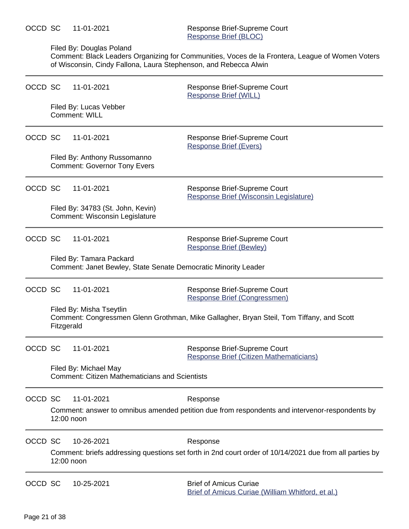### Filed By: Douglas Poland

Comment: Black Leaders Organizing for Communities, Voces de la Frontera, League of Women Voters of Wisconsin, Cindy Fallona, Laura Stephenson, and Rebecca Alwin

| OCCD SC |            | 11-01-2021                                                                                 | Response Brief-Supreme Court<br><b>Response Brief (WILL)</b>                                                        |
|---------|------------|--------------------------------------------------------------------------------------------|---------------------------------------------------------------------------------------------------------------------|
|         |            | Filed By: Lucas Vebber<br>Comment: WILL                                                    |                                                                                                                     |
| OCCD SC |            | 11-01-2021                                                                                 | Response Brief-Supreme Court<br><b>Response Brief (Evers)</b>                                                       |
|         |            | Filed By: Anthony Russomanno<br><b>Comment: Governor Tony Evers</b>                        |                                                                                                                     |
| OCCD SC |            | 11-01-2021                                                                                 | Response Brief-Supreme Court<br>Response Brief (Wisconsin Legislature)                                              |
|         |            | Filed By: 34783 (St. John, Kevin)<br>Comment: Wisconsin Legislature                        |                                                                                                                     |
| OCCD SC |            | 11-01-2021                                                                                 | Response Brief-Supreme Court<br><b>Response Brief (Bewley)</b>                                                      |
|         |            | Filed By: Tamara Packard<br>Comment: Janet Bewley, State Senate Democratic Minority Leader |                                                                                                                     |
| OCCD SC |            | 11-01-2021                                                                                 | Response Brief-Supreme Court<br>Response Brief (Congressmen)                                                        |
|         | Fitzgerald | Filed By: Misha Tseytlin                                                                   | Comment: Congressmen Glenn Grothman, Mike Gallagher, Bryan Steil, Tom Tiffany, and Scott                            |
| OCCD SC |            | 11-01-2021                                                                                 | Response Brief-Supreme Court<br>Response Brief (Citizen Mathematicians)                                             |
|         |            | Filed By: Michael May<br><b>Comment: Citizen Mathematicians and Scientists</b>             |                                                                                                                     |
| OCCD SC |            | 11-01-2021                                                                                 | Response                                                                                                            |
|         |            | 12:00 noon                                                                                 | Comment: answer to omnibus amended petition due from respondents and intervenor-respondents by                      |
| OCCD SC |            | 10-26-2021<br>12:00 noon                                                                   | Response<br>Comment: briefs addressing questions set forth in 2nd court order of 10/14/2021 due from all parties by |
| OCCD SC |            | 10-25-2021                                                                                 | <b>Brief of Amicus Curiae</b><br>Brief of Amicus Curiae (William Whitford, et al.)                                  |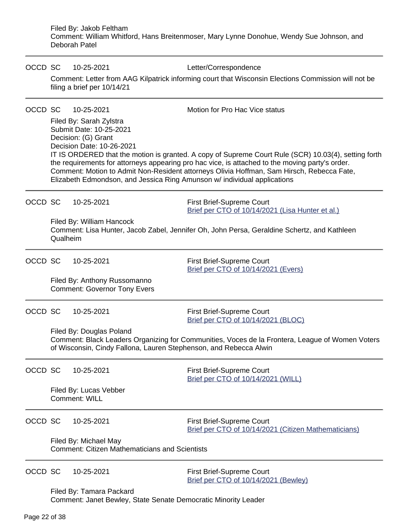Filed By: Jakob Feltham Comment: William Whitford, Hans Breitenmoser, Mary Lynne Donohue, Wendy Sue Johnson, and Deborah Patel

| OCCD SC |          | 10-25-2021<br>filing a brief per 10/14/21                                                                                                                                                        | Letter/Correspondence<br>Comment: Letter from AAG Kilpatrick informing court that Wisconsin Elections Commission will not be                                                                                                                                                                                                           |
|---------|----------|--------------------------------------------------------------------------------------------------------------------------------------------------------------------------------------------------|----------------------------------------------------------------------------------------------------------------------------------------------------------------------------------------------------------------------------------------------------------------------------------------------------------------------------------------|
| OCCD SC |          | 10-25-2021<br>Filed By: Sarah Zylstra<br>Submit Date: 10-25-2021<br>Decision: (G) Grant<br>Decision Date: 10-26-2021<br>Elizabeth Edmondson, and Jessica Ring Amunson w/ individual applications | Motion for Pro Hac Vice status<br>IT IS ORDERED that the motion is granted. A copy of Supreme Court Rule (SCR) 10.03(4), setting forth<br>the requirements for attorneys appearing pro hac vice, is attached to the moving party's order.<br>Comment: Motion to Admit Non-Resident attorneys Olivia Hoffman, Sam Hirsch, Rebecca Fate, |
| OCCD SC | Qualheim | 10-25-2021<br>Filed By: William Hancock                                                                                                                                                          | First Brief-Supreme Court<br>Brief per CTO of 10/14/2021 (Lisa Hunter et al.)<br>Comment: Lisa Hunter, Jacob Zabel, Jennifer Oh, John Persa, Geraldine Schertz, and Kathleen                                                                                                                                                           |
| OCCD SC |          | 10-25-2021<br>Filed By: Anthony Russomanno<br><b>Comment: Governor Tony Evers</b>                                                                                                                | <b>First Brief-Supreme Court</b><br>Brief per CTO of 10/14/2021 (Evers)                                                                                                                                                                                                                                                                |
| OCCD SC |          | 10-25-2021<br>Filed By: Douglas Poland<br>of Wisconsin, Cindy Fallona, Lauren Stephenson, and Rebecca Alwin                                                                                      | <b>First Brief-Supreme Court</b><br>Brief per CTO of 10/14/2021 (BLOC)<br>Comment: Black Leaders Organizing for Communities, Voces de la Frontera, League of Women Voters                                                                                                                                                              |
| OCCD SC |          | 10-25-2021<br>Filed By: Lucas Vebber<br>Comment: WILL                                                                                                                                            | <b>First Brief-Supreme Court</b><br>Brief per CTO of 10/14/2021 (WILL)                                                                                                                                                                                                                                                                 |
| OCCD SC |          | 10-25-2021<br>Filed By: Michael May<br><b>Comment: Citizen Mathematicians and Scientists</b>                                                                                                     | <b>First Brief-Supreme Court</b><br>Brief per CTO of 10/14/2021 (Citizen Mathematicians)                                                                                                                                                                                                                                               |
| OCCD SC |          | 10-25-2021<br>Filed By: Tamara Packard                                                                                                                                                           | First Brief-Supreme Court<br>Brief per CTO of 10/14/2021 (Bewley)                                                                                                                                                                                                                                                                      |

Filed By: Tamara Packard Comment: Janet Bewley, State Senate Democratic Minority Leader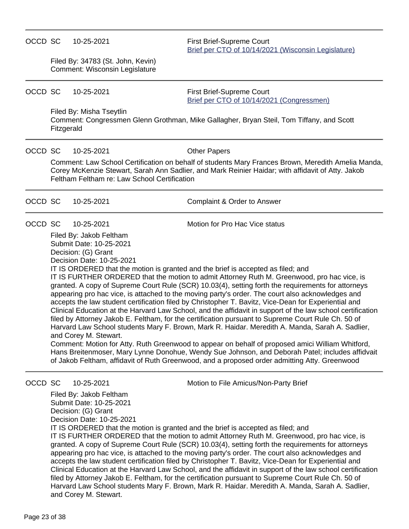### OCCD SC 10-25-2021 First Brief-Supreme Court

[Brief per CTO of 10/14/2021 \(Wisconsin Legislature\)](https://acefiling.wicourts.gov/document/uploaded/2021AP001450/446633)

Filed By: 34783 (St. John, Kevin) Comment: Wisconsin Legislature

OCCD SC 10-25-2021 First Brief-Supreme Court [Brief per CTO of 10/14/2021 \(Congressmen\)](https://acefiling.wicourts.gov/document/uploaded/2021AP001450/446635)

Filed By: Misha Tseytlin

Comment: Congressmen Glenn Grothman, Mike Gallagher, Bryan Steil, Tom Tiffany, and Scott Fitzgerald

OCCD SC 10-25-2021 Other Papers

Comment: Law School Certification on behalf of students Mary Frances Brown, Meredith Amelia Manda, Corey McKenzie Stewart, Sarah Ann Sadlier, and Mark Reinier Haidar; with affidavit of Atty. Jakob Feltham Feltham re: Law School Certification

| OCCD SC 10-25-2021 |            | Complaint & Order to Answer    |
|--------------------|------------|--------------------------------|
| OCCD SC            | 10-25-2021 | Motion for Pro Hac Vice status |

Filed By: Jakob Feltham Submit Date: 10-25-2021 Decision: (G) Grant Decision Date: 10-25-2021

IT IS ORDERED that the motion is granted and the brief is accepted as filed; and IT IS FURTHER ORDERED that the motion to admit Attorney Ruth M. Greenwood, pro hac vice, is granted. A copy of Supreme Court Rule (SCR) 10.03(4), setting forth the requirements for attorneys appearing pro hac vice, is attached to the moving party's order. The court also acknowledges and accepts the law student certification filed by Christopher T. Bavitz, Vice-Dean for Experiential and Clinical Education at the Harvard Law School, and the affidavit in support of the law school certification filed by Attorney Jakob E. Feltham, for the certification pursuant to Supreme Court Rule Ch. 50 of Harvard Law School students Mary F. Brown, Mark R. Haidar. Meredith A. Manda, Sarah A. Sadlier, and Corey M. Stewart.

Comment: Motion for Atty. Ruth Greenwood to appear on behalf of proposed amici William Whitford, Hans Breitenmoser, Mary Lynne Donohue, Wendy Sue Johnson, and Deborah Patel; includes affidvait of Jakob Feltham, affidavit of Ruth Greenwood, and a proposed order admitting Atty. Greenwood

OCCD SC 10-25-2021 Motion to File Amicus/Non-Party Brief

Filed By: Jakob Feltham Submit Date: 10-25-2021 Decision: (G) Grant

Decision Date: 10-25-2021

IT IS ORDERED that the motion is granted and the brief is accepted as filed; and IT IS FURTHER ORDERED that the motion to admit Attorney Ruth M. Greenwood, pro hac vice, is granted. A copy of Supreme Court Rule (SCR) 10.03(4), setting forth the requirements for attorneys appearing pro hac vice, is attached to the moving party's order. The court also acknowledges and accepts the law student certification filed by Christopher T. Bavitz, Vice-Dean for Experiential and Clinical Education at the Harvard Law School, and the affidavit in support of the law school certification filed by Attorney Jakob E. Feltham, for the certification pursuant to Supreme Court Rule Ch. 50 of Harvard Law School students Mary F. Brown, Mark R. Haidar. Meredith A. Manda, Sarah A. Sadlier, and Corey M. Stewart.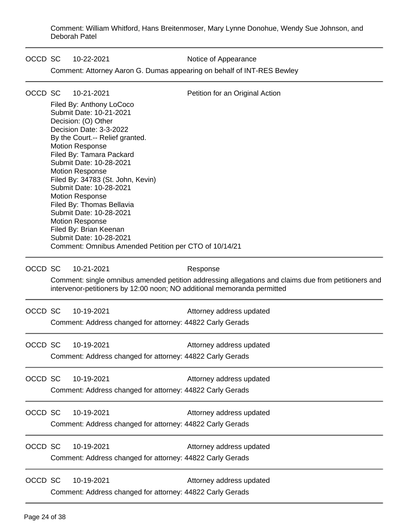Comment: William Whitford, Hans Breitenmoser, Mary Lynne Donohue, Wendy Sue Johnson, and Deborah Patel

OCCD SC 10-22-2021 Notice of Appearance

Comment: Attorney Aaron G. Dumas appearing on behalf of INT-RES Bewley

| OCCD SC |                                                           | 10-21-2021                                                                                            | Petition for an Original Action                                                                                                                                                |  |  |  |
|---------|-----------------------------------------------------------|-------------------------------------------------------------------------------------------------------|--------------------------------------------------------------------------------------------------------------------------------------------------------------------------------|--|--|--|
|         |                                                           | Filed By: Anthony LoCoco<br>Submit Date: 10-21-2021<br>Decision: (O) Other<br>Decision Date: 3-3-2022 |                                                                                                                                                                                |  |  |  |
|         | By the Court.-- Relief granted.<br><b>Motion Response</b> |                                                                                                       |                                                                                                                                                                                |  |  |  |
|         |                                                           | Filed By: Tamara Packard<br>Submit Date: 10-28-2021                                                   |                                                                                                                                                                                |  |  |  |
|         |                                                           | <b>Motion Response</b><br>Filed By: 34783 (St. John, Kevin)                                           |                                                                                                                                                                                |  |  |  |
|         |                                                           | Submit Date: 10-28-2021                                                                               |                                                                                                                                                                                |  |  |  |
|         |                                                           | <b>Motion Response</b><br>Filed By: Thomas Bellavia                                                   |                                                                                                                                                                                |  |  |  |
|         |                                                           | Submit Date: 10-28-2021<br><b>Motion Response</b>                                                     |                                                                                                                                                                                |  |  |  |
|         |                                                           | Filed By: Brian Keenan<br>Submit Date: 10-28-2021                                                     |                                                                                                                                                                                |  |  |  |
|         |                                                           | Comment: Omnibus Amended Petition per CTO of 10/14/21                                                 |                                                                                                                                                                                |  |  |  |
| OCCD SC |                                                           | 10-21-2021                                                                                            | Response                                                                                                                                                                       |  |  |  |
|         |                                                           |                                                                                                       | Comment: single omnibus amended petition addressing allegations and claims due from petitioners and<br>intervenor-petitioners by 12:00 noon; NO additional memoranda permitted |  |  |  |
| OCCD SC |                                                           | 10-19-2021                                                                                            | Attorney address updated                                                                                                                                                       |  |  |  |
|         |                                                           | Comment: Address changed for attorney: 44822 Carly Gerads                                             |                                                                                                                                                                                |  |  |  |
| OCCD SC |                                                           | 10-19-2021                                                                                            | Attorney address updated                                                                                                                                                       |  |  |  |
|         |                                                           | Comment: Address changed for attorney: 44822 Carly Gerads                                             |                                                                                                                                                                                |  |  |  |
| OCCD SC |                                                           | 10-19-2021                                                                                            | Attorney address updated                                                                                                                                                       |  |  |  |
|         |                                                           | Comment: Address changed for attorney: 44822 Carly Gerads                                             |                                                                                                                                                                                |  |  |  |
| OCCD SC |                                                           | 10-19-2021                                                                                            | Attorney address updated                                                                                                                                                       |  |  |  |
|         |                                                           | Comment: Address changed for attorney: 44822 Carly Gerads                                             |                                                                                                                                                                                |  |  |  |
| OCCD SC |                                                           | 10-19-2021                                                                                            | Attorney address updated                                                                                                                                                       |  |  |  |
|         |                                                           | Comment: Address changed for attorney: 44822 Carly Gerads                                             |                                                                                                                                                                                |  |  |  |
| OCCD SC |                                                           | 10-19-2021                                                                                            | Attorney address updated                                                                                                                                                       |  |  |  |
|         |                                                           | Comment: Address changed for attorney: 44822 Carly Gerads                                             |                                                                                                                                                                                |  |  |  |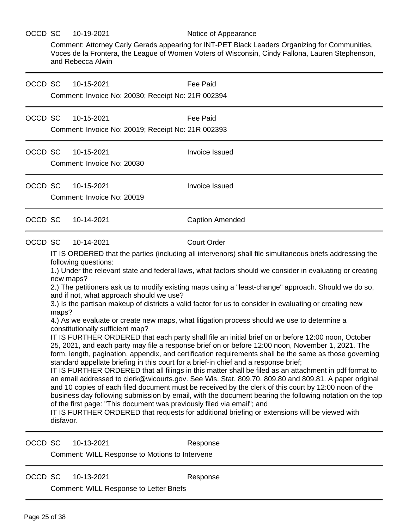### OCCD SC 10-19-2021 Notice of Appearance

Comment: Attorney Carly Gerads appearing for INT-PET Black Leaders Organizing for Communities, Voces de la Frontera, the League of Women Voters of Wisconsin, Cindy Fallona, Lauren Stephenson, and Rebecca Alwin

| OCCD SC |                                 | 10-15-2021<br>Comment: Invoice No: 20030; Receipt No: 21R 002394                                                                                                                             | Fee Paid                                                                                                                                                                                                                                                                                                                                                                                                                                                                                                                                                                                                                                                                                                                                                                                                                                                                                                                                                                                                                                                                                                                                                                                                                                                                                                                                                                                                                                                                                                          |
|---------|---------------------------------|----------------------------------------------------------------------------------------------------------------------------------------------------------------------------------------------|-------------------------------------------------------------------------------------------------------------------------------------------------------------------------------------------------------------------------------------------------------------------------------------------------------------------------------------------------------------------------------------------------------------------------------------------------------------------------------------------------------------------------------------------------------------------------------------------------------------------------------------------------------------------------------------------------------------------------------------------------------------------------------------------------------------------------------------------------------------------------------------------------------------------------------------------------------------------------------------------------------------------------------------------------------------------------------------------------------------------------------------------------------------------------------------------------------------------------------------------------------------------------------------------------------------------------------------------------------------------------------------------------------------------------------------------------------------------------------------------------------------------|
| OCCD SC |                                 | 10-15-2021<br>Comment: Invoice No: 20019; Receipt No: 21R 002393                                                                                                                             | Fee Paid                                                                                                                                                                                                                                                                                                                                                                                                                                                                                                                                                                                                                                                                                                                                                                                                                                                                                                                                                                                                                                                                                                                                                                                                                                                                                                                                                                                                                                                                                                          |
| OCCD SC |                                 | 10-15-2021<br>Comment: Invoice No: 20030                                                                                                                                                     | Invoice Issued                                                                                                                                                                                                                                                                                                                                                                                                                                                                                                                                                                                                                                                                                                                                                                                                                                                                                                                                                                                                                                                                                                                                                                                                                                                                                                                                                                                                                                                                                                    |
| OCCD SC |                                 | 10-15-2021<br>Comment: Invoice No: 20019                                                                                                                                                     | Invoice Issued                                                                                                                                                                                                                                                                                                                                                                                                                                                                                                                                                                                                                                                                                                                                                                                                                                                                                                                                                                                                                                                                                                                                                                                                                                                                                                                                                                                                                                                                                                    |
| OCCD SC |                                 | 10-14-2021                                                                                                                                                                                   | <b>Caption Amended</b>                                                                                                                                                                                                                                                                                                                                                                                                                                                                                                                                                                                                                                                                                                                                                                                                                                                                                                                                                                                                                                                                                                                                                                                                                                                                                                                                                                                                                                                                                            |
| OCCD SC | new maps?<br>maps?<br>disfavor. | 10-14-2021<br>following questions:<br>and if not, what approach should we use?<br>constitutionally sufficient map?<br>of the first page: "This document was previously filed via email"; and | <b>Court Order</b><br>IT IS ORDERED that the parties (including all intervenors) shall file simultaneous briefs addressing the<br>1.) Under the relevant state and federal laws, what factors should we consider in evaluating or creating<br>2.) The petitioners ask us to modify existing maps using a "least-change" approach. Should we do so,<br>3.) Is the partisan makeup of districts a valid factor for us to consider in evaluating or creating new<br>4.) As we evaluate or create new maps, what litigation process should we use to determine a<br>IT IS FURTHER ORDERED that each party shall file an initial brief on or before 12:00 noon, October<br>25, 2021, and each party may file a response brief on or before 12:00 noon, November 1, 2021. The<br>form, length, pagination, appendix, and certification requirements shall be the same as those governing<br>standard appellate briefing in this court for a brief-in chief and a response brief;<br>IT IS FURTHER ORDERED that all filings in this matter shall be filed as an attachment in pdf format to<br>an email addressed to clerk@wicourts.gov. See Wis. Stat. 809.70, 809.80 and 809.81. A paper original<br>and 10 copies of each filed document must be received by the clerk of this court by 12:00 noon of the<br>business day following submission by email, with the document bearing the following notation on the top<br>IT IS FURTHER ORDERED that requests for additional briefing or extensions will be viewed with |
| OCCD SC |                                 | 10-13-2021<br>Comment: WILL Response to Motions to Intervene                                                                                                                                 | Response                                                                                                                                                                                                                                                                                                                                                                                                                                                                                                                                                                                                                                                                                                                                                                                                                                                                                                                                                                                                                                                                                                                                                                                                                                                                                                                                                                                                                                                                                                          |

OCCD SC 10-13-2021 Response

Comment: WILL Response to Letter Briefs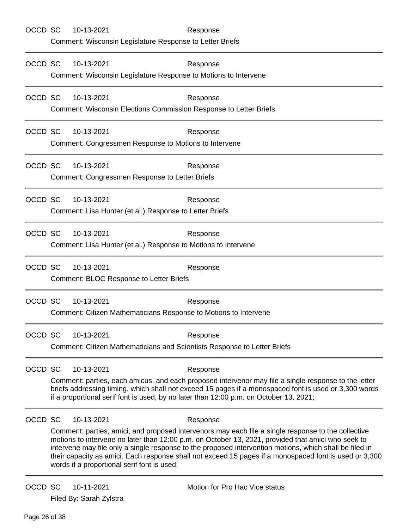| OCCD SC | 10-13-2021<br>Comment: Wisconsin Legislature Response to Letter Briefs                 | Response                                                                                                                                                                                                                                                                                                                                                                                                                                   |
|---------|----------------------------------------------------------------------------------------|--------------------------------------------------------------------------------------------------------------------------------------------------------------------------------------------------------------------------------------------------------------------------------------------------------------------------------------------------------------------------------------------------------------------------------------------|
| OCCD SC | 10-13-2021<br>Comment: Wisconsin Legislature Response to Motions to Intervene          | Response                                                                                                                                                                                                                                                                                                                                                                                                                                   |
| OCCD SC | 10-13-2021<br>Comment: Wisconsin Elections Commission Response to Letter Briefs        | Response                                                                                                                                                                                                                                                                                                                                                                                                                                   |
| OCCD SC | 10-13-2021<br>Comment: Congressmen Response to Motions to Intervene                    | Response                                                                                                                                                                                                                                                                                                                                                                                                                                   |
| OCCD SC | 10-13-2021<br>Comment: Congressmen Response to Letter Briefs                           | Response                                                                                                                                                                                                                                                                                                                                                                                                                                   |
| OCCD SC | 10-13-2021<br>Comment: Lisa Hunter (et al.) Response to Letter Briefs                  | Response                                                                                                                                                                                                                                                                                                                                                                                                                                   |
| OCCD SC | 10-13-2021<br>Comment: Lisa Hunter (et al.) Response to Motions to Intervene           | Response                                                                                                                                                                                                                                                                                                                                                                                                                                   |
| OCCD SC | 10-13-2021<br>Comment: BLOC Response to Letter Briefs                                  | Response                                                                                                                                                                                                                                                                                                                                                                                                                                   |
| OCCD SC | 10-13-2021<br>Comment: Citizen Mathematicians Response to Motions to Intervene         | Response                                                                                                                                                                                                                                                                                                                                                                                                                                   |
| OCCD SC | 10-13-2021<br>Comment: Citizen Mathematicians and Scientists Response to Letter Briefs | Response                                                                                                                                                                                                                                                                                                                                                                                                                                   |
| OCCD SC | 10-13-2021                                                                             | Response<br>Comment: parties, each amicus, and each proposed intervenor may file a single response to the letter<br>briefs addressing timing, which shall not exceed 15 pages if a monospaced font is used or 3,300 words<br>if a proportional serif font is used, by no later than 12:00 p.m. on October 13, 2021;                                                                                                                        |
| OCCD SC | 10-13-2021<br>words if a proportional serif font is used;                              | Response<br>Comment: parties, amici, and proposed intervenors may each file a single response to the collective<br>motions to intervene no later than 12:00 p.m. on October 13, 2021, provided that amici who seek to<br>intervene may file only a single response to the proposed intervention motions, which shall be filed in<br>their capacity as amici. Each response shall not exceed 15 pages if a monospaced font is used or 3,300 |
| OCCD SC | 10-11-2021<br>Filed By: Sarah Zylstra                                                  | Motion for Pro Hac Vice status                                                                                                                                                                                                                                                                                                                                                                                                             |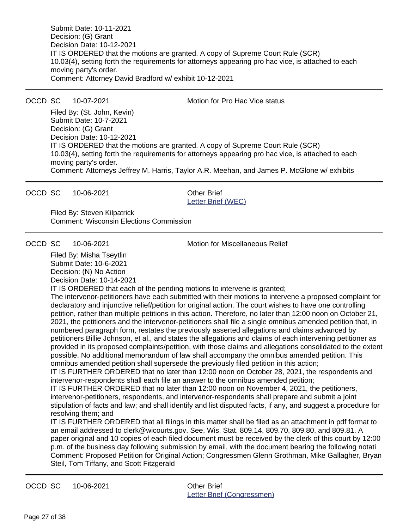Submit Date: 10-11-2021 Decision: (G) Grant Decision Date: 10-12-2021 IT IS ORDERED that the motions are granted. A copy of Supreme Court Rule (SCR) 10.03(4), setting forth the requirements for attorneys appearing pro hac vice, is attached to each moving party's order. Comment: Attorney David Bradford w/ exhibit 10-12-2021

OCCD SC 10-07-2021 Motion for Pro Hac Vice status

Filed By: (St. John, Kevin) Submit Date: 10-7-2021 Decision: (G) Grant Decision Date: 10-12-2021 IT IS ORDERED that the motions are granted. A copy of Supreme Court Rule (SCR) 10.03(4), setting forth the requirements for attorneys appearing pro hac vice, is attached to each moving party's order. Comment: Attorneys Jeffrey M. Harris, Taylor A.R. Meehan, and James P. McGlone w/ exhibits

OCCD SC 10-06-2021 Other Brief

[Letter Brief \(WEC\)](https://acefiling.wicourts.gov/document/uploaded/2021AP001450/439308)

Filed By: Steven Kilpatrick Comment: Wisconsin Elections Commission

OCCD SC 10-06-2021 Motion for Miscellaneous Relief

Filed By: Misha Tseytlin Submit Date: 10-6-2021 Decision: (N) No Action Decision Date: 10-14-2021

IT IS ORDERED that each of the pending motions to intervene is granted;

The intervenor-petitioners have each submitted with their motions to intervene a proposed complaint for declaratory and injunctive relief/petition for original action. The court wishes to have one controlling petition, rather than multiple petitions in this action. Therefore, no later than 12:00 noon on October 21, 2021, the petitioners and the intervenor-petitioners shall file a single omnibus amended petition that, in numbered paragraph form, restates the previously asserted allegations and claims advanced by petitioners Billie Johnson, et al., and states the allegations and claims of each intervening petitioner as provided in its proposed complaints/petition, with those claims and allegations consolidated to the extent possible. No additional memorandum of law shall accompany the omnibus amended petition. This omnibus amended petition shall supersede the previously filed petition in this action;

IT IS FURTHER ORDERED that no later than 12:00 noon on October 28, 2021, the respondents and intervenor-respondents shall each file an answer to the omnibus amended petition;

IT IS FURTHER ORDERED that no later than 12:00 noon on November 4, 2021, the petitioners, intervenor-petitioners, respondents, and intervenor-respondents shall prepare and submit a joint stipulation of facts and law; and shall identify and list disputed facts, if any, and suggest a procedure for resolving them; and

IT IS FURTHER ORDERED that all filings in this matter shall be filed as an attachment in pdf format to an email addressed to clerk@wicourts.gov. See, Wis. Stat. 809.14, 809.70, 809.80, and 809.81. A paper original and 10 copies of each filed document must be received by the clerk of this court by 12:00 p.m. of the business day following submission by email, with the document bearing the following notati Comment: Proposed Petition for Original Action; Congressmen Glenn Grothman, Mike Gallagher, Bryan Steil, Tom Tiffany, and Scott Fitzgerald

OCCD SC 10-06-2021 Other Brief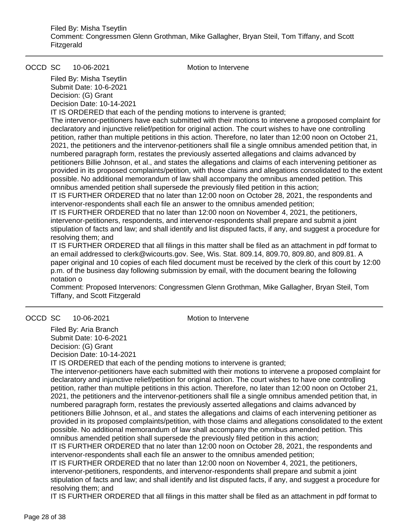OCCD SC 10-06-2021 Motion to Intervene

Filed By: Misha Tseytlin Submit Date: 10-6-2021 Decision: (G) Grant Decision Date: 10-14-2021

IT IS ORDERED that each of the pending motions to intervene is granted;

The intervenor-petitioners have each submitted with their motions to intervene a proposed complaint for declaratory and injunctive relief/petition for original action. The court wishes to have one controlling petition, rather than multiple petitions in this action. Therefore, no later than 12:00 noon on October 21, 2021, the petitioners and the intervenor-petitioners shall file a single omnibus amended petition that, in numbered paragraph form, restates the previously asserted allegations and claims advanced by petitioners Billie Johnson, et al., and states the allegations and claims of each intervening petitioner as provided in its proposed complaints/petition, with those claims and allegations consolidated to the extent possible. No additional memorandum of law shall accompany the omnibus amended petition. This omnibus amended petition shall supersede the previously filed petition in this action;

IT IS FURTHER ORDERED that no later than 12:00 noon on October 28, 2021, the respondents and intervenor-respondents shall each file an answer to the omnibus amended petition;

IT IS FURTHER ORDERED that no later than 12:00 noon on November 4, 2021, the petitioners, intervenor-petitioners, respondents, and intervenor-respondents shall prepare and submit a joint stipulation of facts and law; and shall identify and list disputed facts, if any, and suggest a procedure for resolving them; and

IT IS FURTHER ORDERED that all filings in this matter shall be filed as an attachment in pdf format to an email addressed to clerk@wicourts.gov. See, Wis. Stat. 809.14, 809.70, 809.80, and 809.81. A paper original and 10 copies of each filed document must be received by the clerk of this court by 12:00 p.m. of the business day following submission by email, with the document bearing the following notation o

Comment: Proposed Intervenors: Congressmen Glenn Grothman, Mike Gallagher, Bryan Steil, Tom Tiffany, and Scott Fitzgerald

### OCCD SC 10-06-2021 Motion to Intervene

Filed By: Aria Branch Submit Date: 10-6-2021 Decision: (G) Grant Decision Date: 10-14-2021

IT IS ORDERED that each of the pending motions to intervene is granted;

The intervenor-petitioners have each submitted with their motions to intervene a proposed complaint for declaratory and injunctive relief/petition for original action. The court wishes to have one controlling petition, rather than multiple petitions in this action. Therefore, no later than 12:00 noon on October 21, 2021, the petitioners and the intervenor-petitioners shall file a single omnibus amended petition that, in numbered paragraph form, restates the previously asserted allegations and claims advanced by petitioners Billie Johnson, et al., and states the allegations and claims of each intervening petitioner as provided in its proposed complaints/petition, with those claims and allegations consolidated to the extent possible. No additional memorandum of law shall accompany the omnibus amended petition. This omnibus amended petition shall supersede the previously filed petition in this action;

IT IS FURTHER ORDERED that no later than 12:00 noon on October 28, 2021, the respondents and intervenor-respondents shall each file an answer to the omnibus amended petition;

IT IS FURTHER ORDERED that no later than 12:00 noon on November 4, 2021, the petitioners, intervenor-petitioners, respondents, and intervenor-respondents shall prepare and submit a joint stipulation of facts and law; and shall identify and list disputed facts, if any, and suggest a procedure for resolving them; and

IT IS FURTHER ORDERED that all filings in this matter shall be filed as an attachment in pdf format to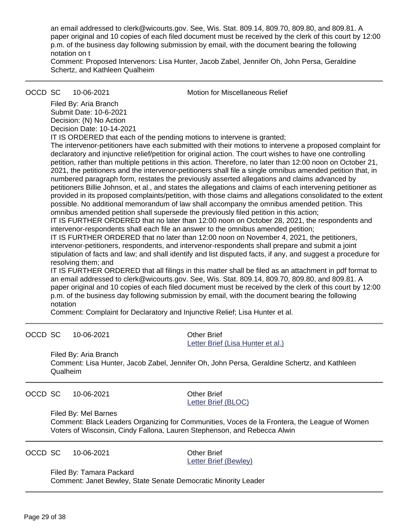an email addressed to clerk@wicourts.gov. See, Wis. Stat. 809.14, 809.70, 809.80, and 809.81. A paper original and 10 copies of each filed document must be received by the clerk of this court by 12:00 p.m. of the business day following submission by email, with the document bearing the following notation on t

Comment: Proposed Intervenors: Lisa Hunter, Jacob Zabel, Jennifer Oh, John Persa, Geraldine Schertz, and Kathleen Qualheim

OCCD SC 10-06-2021 Motion for Miscellaneous Relief

Filed By: Aria Branch Submit Date: 10-6-2021 Decision: (N) No Action Decision Date: 10-14-2021

IT IS ORDERED that each of the pending motions to intervene is granted;

The intervenor-petitioners have each submitted with their motions to intervene a proposed complaint for declaratory and injunctive relief/petition for original action. The court wishes to have one controlling petition, rather than multiple petitions in this action. Therefore, no later than 12:00 noon on October 21, 2021, the petitioners and the intervenor-petitioners shall file a single omnibus amended petition that, in numbered paragraph form, restates the previously asserted allegations and claims advanced by petitioners Billie Johnson, et al., and states the allegations and claims of each intervening petitioner as provided in its proposed complaints/petition, with those claims and allegations consolidated to the extent possible. No additional memorandum of law shall accompany the omnibus amended petition. This omnibus amended petition shall supersede the previously filed petition in this action;

IT IS FURTHER ORDERED that no later than 12:00 noon on October 28, 2021, the respondents and intervenor-respondents shall each file an answer to the omnibus amended petition;

IT IS FURTHER ORDERED that no later than 12:00 noon on November 4, 2021, the petitioners, intervenor-petitioners, respondents, and intervenor-respondents shall prepare and submit a joint stipulation of facts and law; and shall identify and list disputed facts, if any, and suggest a procedure for resolving them; and

IT IS FURTHER ORDERED that all filings in this matter shall be filed as an attachment in pdf format to an email addressed to clerk@wicourts.gov. See, Wis. Stat. 809.14, 809.70, 809.80, and 809.81. A paper original and 10 copies of each filed document must be received by the clerk of this court by 12:00 p.m. of the business day following submission by email, with the document bearing the following notation

Comment: Complaint for Declaratory and Injunctive Relief; Lisa Hunter et al.

| OCCD SC 10-06-2021 | Other Brief                       |
|--------------------|-----------------------------------|
|                    | Letter Brief (Lisa Hunter et al.) |

Filed By: Aria Branch Comment: Lisa Hunter, Jacob Zabel, Jennifer Oh, John Persa, Geraldine Schertz, and Kathleen Qualheim

OCCD SC 10-06-2021 Other Brief

[Letter Brief \(BLOC\)](https://acefiling.wicourts.gov/document/uploaded/2021AP001450/439286)

Filed By: Mel Barnes

Comment: Black Leaders Organizing for Communities, Voces de la Frontera, the League of Women Voters of Wisconsin, Cindy Fallona, Lauren Stephenson, and Rebecca Alwin

OCCD SC 10-06-2021 Other Brief

[Letter Brief \(Bewley\)](https://acefiling.wicourts.gov/document/uploaded/2021AP001450/439283)

Filed By: Tamara Packard

Comment: Janet Bewley, State Senate Democratic Minority Leader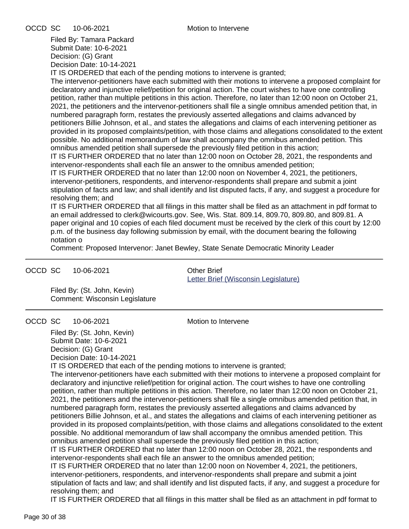Filed By: Tamara Packard Submit Date: 10-6-2021 Decision: (G) Grant Decision Date: 10-14-2021

IT IS ORDERED that each of the pending motions to intervene is granted;

The intervenor-petitioners have each submitted with their motions to intervene a proposed complaint for declaratory and injunctive relief/petition for original action. The court wishes to have one controlling petition, rather than multiple petitions in this action. Therefore, no later than 12:00 noon on October 21, 2021, the petitioners and the intervenor-petitioners shall file a single omnibus amended petition that, in numbered paragraph form, restates the previously asserted allegations and claims advanced by petitioners Billie Johnson, et al., and states the allegations and claims of each intervening petitioner as provided in its proposed complaints/petition, with those claims and allegations consolidated to the extent possible. No additional memorandum of law shall accompany the omnibus amended petition. This omnibus amended petition shall supersede the previously filed petition in this action;

IT IS FURTHER ORDERED that no later than 12:00 noon on October 28, 2021, the respondents and intervenor-respondents shall each file an answer to the omnibus amended petition;

IT IS FURTHER ORDERED that no later than 12:00 noon on November 4, 2021, the petitioners, intervenor-petitioners, respondents, and intervenor-respondents shall prepare and submit a joint stipulation of facts and law; and shall identify and list disputed facts, if any, and suggest a procedure for resolving them; and

IT IS FURTHER ORDERED that all filings in this matter shall be filed as an attachment in pdf format to an email addressed to clerk@wicourts.gov. See, Wis. Stat. 809.14, 809.70, 809.80, and 809.81. A paper original and 10 copies of each filed document must be received by the clerk of this court by 12:00 p.m. of the business day following submission by email, with the document bearing the following notation o

Comment: Proposed Intervenor: Janet Bewley, State Senate Democratic Minority Leader

OCCD SC 10-06-2021 Other Brief

[Letter Brief \(Wisconsin Legislature\)](https://acefiling.wicourts.gov/document/uploaded/2021AP001450/439281)

Filed By: (St. John, Kevin) Comment: Wisconsin Legislature

OCCD SC 10-06-2021 Motion to Intervene

Filed By: (St. John, Kevin) Submit Date: 10-6-2021 Decision: (G) Grant Decision Date: 10-14-2021

IT IS ORDERED that each of the pending motions to intervene is granted;

The intervenor-petitioners have each submitted with their motions to intervene a proposed complaint for declaratory and injunctive relief/petition for original action. The court wishes to have one controlling petition, rather than multiple petitions in this action. Therefore, no later than 12:00 noon on October 21, 2021, the petitioners and the intervenor-petitioners shall file a single omnibus amended petition that, in numbered paragraph form, restates the previously asserted allegations and claims advanced by petitioners Billie Johnson, et al., and states the allegations and claims of each intervening petitioner as provided in its proposed complaints/petition, with those claims and allegations consolidated to the extent possible. No additional memorandum of law shall accompany the omnibus amended petition. This omnibus amended petition shall supersede the previously filed petition in this action;

IT IS FURTHER ORDERED that no later than 12:00 noon on October 28, 2021, the respondents and intervenor-respondents shall each file an answer to the omnibus amended petition;

IT IS FURTHER ORDERED that no later than 12:00 noon on November 4, 2021, the petitioners, intervenor-petitioners, respondents, and intervenor-respondents shall prepare and submit a joint stipulation of facts and law; and shall identify and list disputed facts, if any, and suggest a procedure for resolving them; and

IT IS FURTHER ORDERED that all filings in this matter shall be filed as an attachment in pdf format to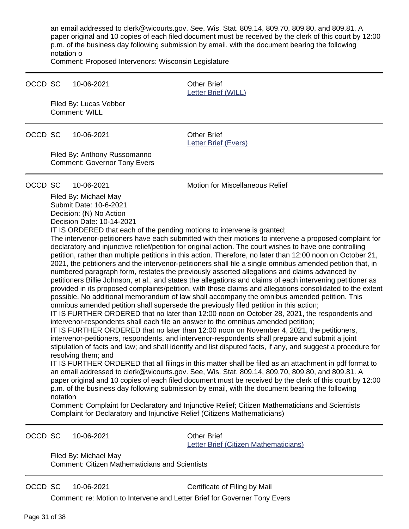an email addressed to clerk@wicourts.gov. See, Wis. Stat. 809.14, 809.70, 809.80, and 809.81. A paper original and 10 copies of each filed document must be received by the clerk of this court by 12:00 p.m. of the business day following submission by email, with the document bearing the following notation o

Comment: Proposed Intervenors: Wisconsin Legislature

#### OCCD SC 10-06-2021 Other Brief

[Letter Brief \(WILL\)](https://acefiling.wicourts.gov/document/uploaded/2021AP001450/439272)

Filed By: Lucas Vebber Comment: WILL

OCCD SC 10-06-2021 Other Brief

[Letter Brief \(Evers\)](https://acefiling.wicourts.gov/document/uploaded/2021AP001450/439187)

Filed By: Anthony Russomanno Comment: Governor Tony Evers

### OCCD SC 10-06-2021 Motion for Miscellaneous Relief

Filed By: Michael May Submit Date: 10-6-2021 Decision: (N) No Action Decision Date: 10-14-2021

IT IS ORDERED that each of the pending motions to intervene is granted;

The intervenor-petitioners have each submitted with their motions to intervene a proposed complaint for declaratory and injunctive relief/petition for original action. The court wishes to have one controlling petition, rather than multiple petitions in this action. Therefore, no later than 12:00 noon on October 21, 2021, the petitioners and the intervenor-petitioners shall file a single omnibus amended petition that, in numbered paragraph form, restates the previously asserted allegations and claims advanced by petitioners Billie Johnson, et al., and states the allegations and claims of each intervening petitioner as provided in its proposed complaints/petition, with those claims and allegations consolidated to the extent possible. No additional memorandum of law shall accompany the omnibus amended petition. This omnibus amended petition shall supersede the previously filed petition in this action;

IT IS FURTHER ORDERED that no later than 12:00 noon on October 28, 2021, the respondents and intervenor-respondents shall each file an answer to the omnibus amended petition;

IT IS FURTHER ORDERED that no later than 12:00 noon on November 4, 2021, the petitioners, intervenor-petitioners, respondents, and intervenor-respondents shall prepare and submit a joint stipulation of facts and law; and shall identify and list disputed facts, if any, and suggest a procedure for resolving them; and

IT IS FURTHER ORDERED that all filings in this matter shall be filed as an attachment in pdf format to an email addressed to clerk@wicourts.gov. See, Wis. Stat. 809.14, 809.70, 809.80, and 809.81. A paper original and 10 copies of each filed document must be received by the clerk of this court by 12:00 p.m. of the business day following submission by email, with the document bearing the following notation

Comment: Complaint for Declaratory and Injunctive Relief; Citizen Mathematicians and Scientists Complaint for Declaratory and Injunctive Relief (Citizens Mathematicians)

OCCD SC 10-06-2021 Other Brief

[Letter Brief \(Citizen Mathematicians\)](https://acefiling.wicourts.gov/document/uploaded/2021AP001450/439185)

Filed By: Michael May Comment: Citizen Mathematicians and Scientists

OCCD SC 10-06-2021 Certificate of Filing by Mail

Comment: re: Motion to Intervene and Letter Brief for Governer Tony Evers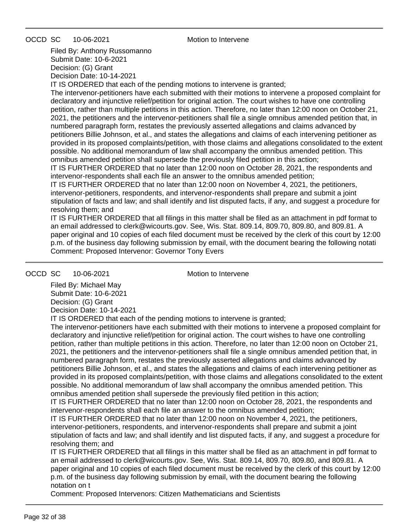OCCD SC 10-06-2021 Motion to Intervene

Filed By: Anthony Russomanno Submit Date: 10-6-2021 Decision: (G) Grant Decision Date: 10-14-2021

IT IS ORDERED that each of the pending motions to intervene is granted;

The intervenor-petitioners have each submitted with their motions to intervene a proposed complaint for declaratory and injunctive relief/petition for original action. The court wishes to have one controlling petition, rather than multiple petitions in this action. Therefore, no later than 12:00 noon on October 21, 2021, the petitioners and the intervenor-petitioners shall file a single omnibus amended petition that, in numbered paragraph form, restates the previously asserted allegations and claims advanced by petitioners Billie Johnson, et al., and states the allegations and claims of each intervening petitioner as provided in its proposed complaints/petition, with those claims and allegations consolidated to the extent possible. No additional memorandum of law shall accompany the omnibus amended petition. This omnibus amended petition shall supersede the previously filed petition in this action;

IT IS FURTHER ORDERED that no later than 12:00 noon on October 28, 2021, the respondents and intervenor-respondents shall each file an answer to the omnibus amended petition;

IT IS FURTHER ORDERED that no later than 12:00 noon on November 4, 2021, the petitioners, intervenor-petitioners, respondents, and intervenor-respondents shall prepare and submit a joint stipulation of facts and law; and shall identify and list disputed facts, if any, and suggest a procedure for resolving them; and

IT IS FURTHER ORDERED that all filings in this matter shall be filed as an attachment in pdf format to an email addressed to clerk@wicourts.gov. See, Wis. Stat. 809.14, 809.70, 809.80, and 809.81. A paper original and 10 copies of each filed document must be received by the clerk of this court by 12:00 p.m. of the business day following submission by email, with the document bearing the following notati Comment: Proposed Intervenor: Governor Tony Evers

OCCD SC 10-06-2021 Motion to Intervene

Filed By: Michael May Submit Date: 10-6-2021 Decision: (G) Grant Decision Date: 10-14-2021

IT IS ORDERED that each of the pending motions to intervene is granted;

The intervenor-petitioners have each submitted with their motions to intervene a proposed complaint for declaratory and injunctive relief/petition for original action. The court wishes to have one controlling petition, rather than multiple petitions in this action. Therefore, no later than 12:00 noon on October 21, 2021, the petitioners and the intervenor-petitioners shall file a single omnibus amended petition that, in numbered paragraph form, restates the previously asserted allegations and claims advanced by petitioners Billie Johnson, et al., and states the allegations and claims of each intervening petitioner as provided in its proposed complaints/petition, with those claims and allegations consolidated to the extent possible. No additional memorandum of law shall accompany the omnibus amended petition. This omnibus amended petition shall supersede the previously filed petition in this action;

IT IS FURTHER ORDERED that no later than 12:00 noon on October 28, 2021, the respondents and intervenor-respondents shall each file an answer to the omnibus amended petition;

IT IS FURTHER ORDERED that no later than 12:00 noon on November 4, 2021, the petitioners, intervenor-petitioners, respondents, and intervenor-respondents shall prepare and submit a joint stipulation of facts and law; and shall identify and list disputed facts, if any, and suggest a procedure for resolving them; and

IT IS FURTHER ORDERED that all filings in this matter shall be filed as an attachment in pdf format to an email addressed to clerk@wicourts.gov. See, Wis. Stat. 809.14, 809.70, 809.80, and 809.81. A paper original and 10 copies of each filed document must be received by the clerk of this court by 12:00 p.m. of the business day following submission by email, with the document bearing the following notation on t

Comment: Proposed Intervenors: Citizen Mathematicians and Scientists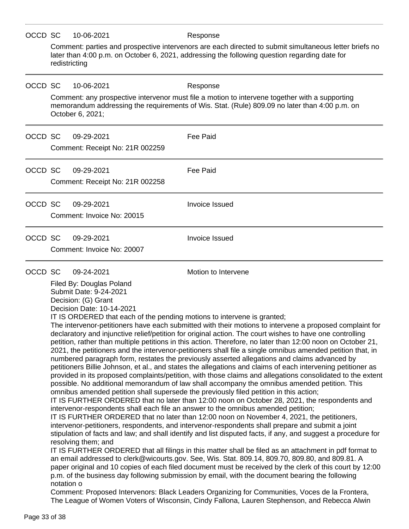| OCCD SC                                                                                                                                                                                                                                                                                                                                                                                                                                                                                                                                                                                                                                                                                                                                                                                                                                                                                                                                                                                                                                                                                                                  |                                                                                                                                                                                                                          | 10-06-2021                                                                                                                                                                                                          | Response                                                                                                                                                                                                                                                                                                                                                                                                                                                                                                                                                                                                                                                                                                                                                                                                                                                                                                                                                                                                                                                                                                                                                                                                   |  |  |  |
|--------------------------------------------------------------------------------------------------------------------------------------------------------------------------------------------------------------------------------------------------------------------------------------------------------------------------------------------------------------------------------------------------------------------------------------------------------------------------------------------------------------------------------------------------------------------------------------------------------------------------------------------------------------------------------------------------------------------------------------------------------------------------------------------------------------------------------------------------------------------------------------------------------------------------------------------------------------------------------------------------------------------------------------------------------------------------------------------------------------------------|--------------------------------------------------------------------------------------------------------------------------------------------------------------------------------------------------------------------------|---------------------------------------------------------------------------------------------------------------------------------------------------------------------------------------------------------------------|------------------------------------------------------------------------------------------------------------------------------------------------------------------------------------------------------------------------------------------------------------------------------------------------------------------------------------------------------------------------------------------------------------------------------------------------------------------------------------------------------------------------------------------------------------------------------------------------------------------------------------------------------------------------------------------------------------------------------------------------------------------------------------------------------------------------------------------------------------------------------------------------------------------------------------------------------------------------------------------------------------------------------------------------------------------------------------------------------------------------------------------------------------------------------------------------------------|--|--|--|
|                                                                                                                                                                                                                                                                                                                                                                                                                                                                                                                                                                                                                                                                                                                                                                                                                                                                                                                                                                                                                                                                                                                          | Comment: parties and prospective intervenors are each directed to submit simultaneous letter briefs no<br>later than 4:00 p.m. on October 6, 2021, addressing the following question regarding date for<br>redistricting |                                                                                                                                                                                                                     |                                                                                                                                                                                                                                                                                                                                                                                                                                                                                                                                                                                                                                                                                                                                                                                                                                                                                                                                                                                                                                                                                                                                                                                                            |  |  |  |
| OCCD SC                                                                                                                                                                                                                                                                                                                                                                                                                                                                                                                                                                                                                                                                                                                                                                                                                                                                                                                                                                                                                                                                                                                  |                                                                                                                                                                                                                          | 10-06-2021                                                                                                                                                                                                          | Response                                                                                                                                                                                                                                                                                                                                                                                                                                                                                                                                                                                                                                                                                                                                                                                                                                                                                                                                                                                                                                                                                                                                                                                                   |  |  |  |
|                                                                                                                                                                                                                                                                                                                                                                                                                                                                                                                                                                                                                                                                                                                                                                                                                                                                                                                                                                                                                                                                                                                          |                                                                                                                                                                                                                          | Comment: any prospective intervenor must file a motion to intervene together with a supporting<br>memorandum addressing the requirements of Wis. Stat. (Rule) 809.09 no later than 4:00 p.m. on<br>October 6, 2021; |                                                                                                                                                                                                                                                                                                                                                                                                                                                                                                                                                                                                                                                                                                                                                                                                                                                                                                                                                                                                                                                                                                                                                                                                            |  |  |  |
| OCCD SC                                                                                                                                                                                                                                                                                                                                                                                                                                                                                                                                                                                                                                                                                                                                                                                                                                                                                                                                                                                                                                                                                                                  |                                                                                                                                                                                                                          | 09-29-2021                                                                                                                                                                                                          | Fee Paid                                                                                                                                                                                                                                                                                                                                                                                                                                                                                                                                                                                                                                                                                                                                                                                                                                                                                                                                                                                                                                                                                                                                                                                                   |  |  |  |
|                                                                                                                                                                                                                                                                                                                                                                                                                                                                                                                                                                                                                                                                                                                                                                                                                                                                                                                                                                                                                                                                                                                          |                                                                                                                                                                                                                          | Comment: Receipt No: 21R 002259                                                                                                                                                                                     |                                                                                                                                                                                                                                                                                                                                                                                                                                                                                                                                                                                                                                                                                                                                                                                                                                                                                                                                                                                                                                                                                                                                                                                                            |  |  |  |
| OCCD SC                                                                                                                                                                                                                                                                                                                                                                                                                                                                                                                                                                                                                                                                                                                                                                                                                                                                                                                                                                                                                                                                                                                  |                                                                                                                                                                                                                          | 09-29-2021<br>Comment: Receipt No: 21R 002258                                                                                                                                                                       | Fee Paid                                                                                                                                                                                                                                                                                                                                                                                                                                                                                                                                                                                                                                                                                                                                                                                                                                                                                                                                                                                                                                                                                                                                                                                                   |  |  |  |
| OCCD SC                                                                                                                                                                                                                                                                                                                                                                                                                                                                                                                                                                                                                                                                                                                                                                                                                                                                                                                                                                                                                                                                                                                  |                                                                                                                                                                                                                          | 09-29-2021                                                                                                                                                                                                          | <b>Invoice Issued</b>                                                                                                                                                                                                                                                                                                                                                                                                                                                                                                                                                                                                                                                                                                                                                                                                                                                                                                                                                                                                                                                                                                                                                                                      |  |  |  |
|                                                                                                                                                                                                                                                                                                                                                                                                                                                                                                                                                                                                                                                                                                                                                                                                                                                                                                                                                                                                                                                                                                                          |                                                                                                                                                                                                                          | Comment: Invoice No: 20015                                                                                                                                                                                          |                                                                                                                                                                                                                                                                                                                                                                                                                                                                                                                                                                                                                                                                                                                                                                                                                                                                                                                                                                                                                                                                                                                                                                                                            |  |  |  |
| OCCD SC                                                                                                                                                                                                                                                                                                                                                                                                                                                                                                                                                                                                                                                                                                                                                                                                                                                                                                                                                                                                                                                                                                                  |                                                                                                                                                                                                                          | 09-29-2021                                                                                                                                                                                                          | <b>Invoice Issued</b>                                                                                                                                                                                                                                                                                                                                                                                                                                                                                                                                                                                                                                                                                                                                                                                                                                                                                                                                                                                                                                                                                                                                                                                      |  |  |  |
|                                                                                                                                                                                                                                                                                                                                                                                                                                                                                                                                                                                                                                                                                                                                                                                                                                                                                                                                                                                                                                                                                                                          |                                                                                                                                                                                                                          | Comment: Invoice No: 20007                                                                                                                                                                                          |                                                                                                                                                                                                                                                                                                                                                                                                                                                                                                                                                                                                                                                                                                                                                                                                                                                                                                                                                                                                                                                                                                                                                                                                            |  |  |  |
| OCCD SC                                                                                                                                                                                                                                                                                                                                                                                                                                                                                                                                                                                                                                                                                                                                                                                                                                                                                                                                                                                                                                                                                                                  |                                                                                                                                                                                                                          | 09-24-2021                                                                                                                                                                                                          | Motion to Intervene                                                                                                                                                                                                                                                                                                                                                                                                                                                                                                                                                                                                                                                                                                                                                                                                                                                                                                                                                                                                                                                                                                                                                                                        |  |  |  |
| Filed By: Douglas Poland<br>Submit Date: 9-24-2021<br>Decision: (G) Grant<br>Decision Date: 10-14-2021<br>IT IS ORDERED that each of the pending motions to intervene is granted;<br>declaratory and injunctive relief/petition for original action. The court wishes to have one controlling<br>numbered paragraph form, restates the previously asserted allegations and claims advanced by<br>possible. No additional memorandum of law shall accompany the omnibus amended petition. This<br>omnibus amended petition shall supersede the previously filed petition in this action;<br>intervenor-respondents shall each file an answer to the omnibus amended petition;<br>IT IS FURTHER ORDERED that no later than 12:00 noon on November 4, 2021, the petitioners,<br>intervenor-petitioners, respondents, and intervenor-respondents shall prepare and submit a joint<br>resolving them; and<br>an email addressed to clerk@wicourts.gov. See, Wis. Stat. 809.14, 809.70, 809.80, and 809.81. A<br>p.m. of the business day following submission by email, with the document bearing the following<br>notation o |                                                                                                                                                                                                                          |                                                                                                                                                                                                                     | The intervenor-petitioners have each submitted with their motions to intervene a proposed complaint for<br>petition, rather than multiple petitions in this action. Therefore, no later than 12:00 noon on October 21,<br>2021, the petitioners and the intervenor-petitioners shall file a single omnibus amended petition that, in<br>petitioners Billie Johnson, et al., and states the allegations and claims of each intervening petitioner as<br>provided in its proposed complaints/petition, with those claims and allegations consolidated to the extent<br>IT IS FURTHER ORDERED that no later than 12:00 noon on October 28, 2021, the respondents and<br>stipulation of facts and law; and shall identify and list disputed facts, if any, and suggest a procedure for<br>IT IS FURTHER ORDERED that all filings in this matter shall be filed as an attachment in pdf format to<br>paper original and 10 copies of each filed document must be received by the clerk of this court by 12:00<br>Comment: Proposed Intervenors: Black Leaders Organizing for Communities, Voces de la Frontera,<br>The League of Women Voters of Wisconsin, Cindy Fallona, Lauren Stephenson, and Rebecca Alwin |  |  |  |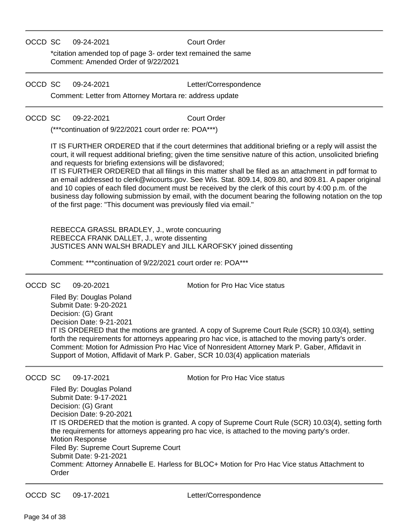### OCCD SC 09-24-2021 Court Order

\*citation amended top of page 3- order text remained the same Comment: Amended Order of 9/22/2021

### OCCD SC 09-24-2021 Letter/Correspondence

Comment: Letter from Attorney Mortara re: address update

OCCD SC 09-22-2021 Court Order

(\*\*\*continuation of 9/22/2021 court order re: POA\*\*\*)

IT IS FURTHER ORDERED that if the court determines that additional briefing or a reply will assist the court, it will request additional briefing; given the time sensitive nature of this action, unsolicited briefing and requests for briefing extensions will be disfavored;

IT IS FURTHER ORDERED that all filings in this matter shall be filed as an attachment in pdf format to an email addressed to clerk@wicourts.gov. See Wis. Stat. 809.14, 809.80, and 809.81. A paper original and 10 copies of each filed document must be received by the clerk of this court by 4:00 p.m. of the business day following submission by email, with the document bearing the following notation on the top of the first page: "This document was previously filed via email."

REBECCA GRASSL BRADLEY, J., wrote concuuring REBECCA FRANK DALLET, J., wrote dissenting JUSTICES ANN WALSH BRADLEY and JILL KAROFSKY joined dissenting

Comment: \*\*\*continuation of 9/22/2021 court order re: POA\*\*\*

OCCD SC 09-20-2021 Motion for Pro Hac Vice status

Filed By: Douglas Poland Submit Date: 9-20-2021 Decision: (G) Grant Decision Date: 9-21-2021 IT IS ORDERED that the motions are granted. A copy of Supreme Court Rule (SCR) 10.03(4), setting forth the requirements for attorneys appearing pro hac vice, is attached to the moving party's order. Comment: Motion for Admission Pro Hac Vice of Nonresident Attorney Mark P. Gaber, Affidavit in Support of Motion, Affidavit of Mark P. Gaber, SCR 10.03(4) application materials

OCCD SC 09-17-2021 Motion for Pro Hac Vice status

Filed By: Douglas Poland Submit Date: 9-17-2021 Decision: (G) Grant Decision Date: 9-20-2021 IT IS ORDERED that the motion is granted. A copy of Supreme Court Rule (SCR) 10.03(4), setting forth the requirements for attorneys appearing pro hac vice, is attached to the moving party's order. Motion Response Filed By: Supreme Court Supreme Court Submit Date: 9-21-2021 Comment: Attorney Annabelle E. Harless for BLOC+ Motion for Pro Hac Vice status Attachment to Order

OCCD SC 09-17-2021 Letter/Correspondence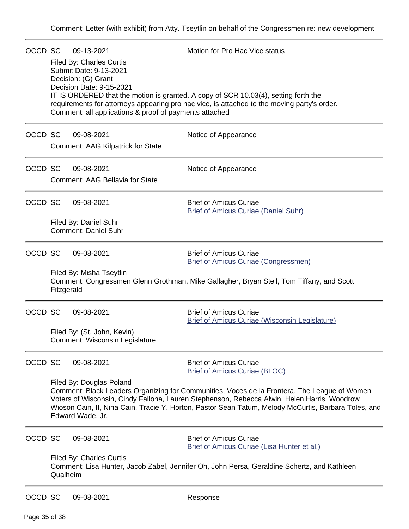| OCCD SC |                                                                                                                                                                                                                                                                                                                                                                                                                                            | 09-13-2021<br><b>Filed By: Charles Curtis</b><br>Submit Date: 9-13-2021<br>Decision: (G) Grant<br>Decision Date: 9-15-2021<br>Comment: all applications & proof of payments attached | Motion for Pro Hac Vice status<br>IT IS ORDERED that the motion is granted. A copy of SCR 10.03(4), setting forth the<br>requirements for attorneys appearing pro hac vice, is attached to the moving party's order. |
|---------|--------------------------------------------------------------------------------------------------------------------------------------------------------------------------------------------------------------------------------------------------------------------------------------------------------------------------------------------------------------------------------------------------------------------------------------------|--------------------------------------------------------------------------------------------------------------------------------------------------------------------------------------|----------------------------------------------------------------------------------------------------------------------------------------------------------------------------------------------------------------------|
| OCCD SC |                                                                                                                                                                                                                                                                                                                                                                                                                                            | 09-08-2021<br><b>Comment: AAG Kilpatrick for State</b>                                                                                                                               | Notice of Appearance                                                                                                                                                                                                 |
| OCCD SC |                                                                                                                                                                                                                                                                                                                                                                                                                                            | 09-08-2021<br><b>Comment: AAG Bellavia for State</b>                                                                                                                                 | Notice of Appearance                                                                                                                                                                                                 |
| OCCD SC |                                                                                                                                                                                                                                                                                                                                                                                                                                            | 09-08-2021<br>Filed By: Daniel Suhr<br><b>Comment: Daniel Suhr</b>                                                                                                                   | <b>Brief of Amicus Curiae</b><br><b>Brief of Amicus Curiae (Daniel Suhr)</b>                                                                                                                                         |
| OCCD SC | Fitzgerald                                                                                                                                                                                                                                                                                                                                                                                                                                 | 09-08-2021<br>Filed By: Misha Tseytlin                                                                                                                                               | <b>Brief of Amicus Curiae</b><br><b>Brief of Amicus Curiae (Congressmen)</b><br>Comment: Congressmen Glenn Grothman, Mike Gallagher, Bryan Steil, Tom Tiffany, and Scott                                             |
| OCCD SC |                                                                                                                                                                                                                                                                                                                                                                                                                                            | 09-08-2021<br>Filed By: (St. John, Kevin)<br>Comment: Wisconsin Legislature                                                                                                          | <b>Brief of Amicus Curiae</b><br><b>Brief of Amicus Curiae (Wisconsin Legislature)</b>                                                                                                                               |
| OCCD SC | 09-08-2021<br><b>Brief of Amicus Curiae</b><br><b>Brief of Amicus Curiae (BLOC)</b><br>Filed By: Douglas Poland<br>Comment: Black Leaders Organizing for Communities, Voces de la Frontera, The League of Women<br>Voters of Wisconsin, Cindy Fallona, Lauren Stephenson, Rebecca Alwin, Helen Harris, Woodrow<br>Wioson Cain, II, Nina Cain, Tracie Y. Horton, Pastor Sean Tatum, Melody McCurtis, Barbara Toles, and<br>Edward Wade, Jr. |                                                                                                                                                                                      |                                                                                                                                                                                                                      |
| OCCD SC | Qualheim                                                                                                                                                                                                                                                                                                                                                                                                                                   | 09-08-2021<br><b>Filed By: Charles Curtis</b>                                                                                                                                        | <b>Brief of Amicus Curiae</b><br>Brief of Amicus Curiae (Lisa Hunter et al.)<br>Comment: Lisa Hunter, Jacob Zabel, Jennifer Oh, John Persa, Geraldine Schertz, and Kathleen                                          |
| OCCD SC |                                                                                                                                                                                                                                                                                                                                                                                                                                            | 09-08-2021                                                                                                                                                                           | Response                                                                                                                                                                                                             |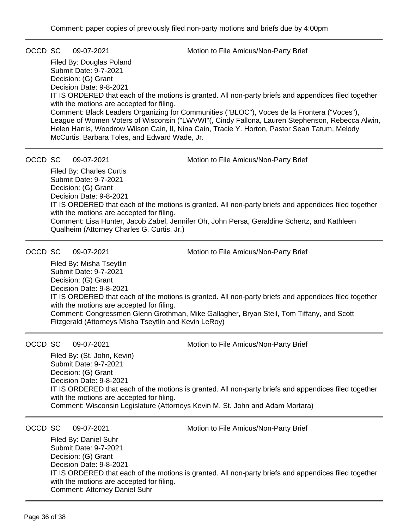OCCD SC 09-07-2021 Motion to File Amicus/Non-Party Brief

Filed By: Douglas Poland Submit Date: 9-7-2021 Decision: (G) Grant Decision Date: 9-8-2021 IT IS ORDERED that each of the motions is granted. All non-party briefs and appendices filed together with the motions are accepted for filing. Comment: Black Leaders Organizing for Communities ("BLOC"), Voces de la Frontera ("Voces"), League of Women Voters of Wisconsin ("LWVWI"(, Cindy Fallona, Lauren Stephenson, Rebecca Alwin, Helen Harris, Woodrow Wilson Cain, II, Nina Cain, Tracie Y. Horton, Pastor Sean Tatum, Melody McCurtis, Barbara Toles, and Edward Wade, Jr.

OCCD SC 09-07-2021 Motion to File Amicus/Non-Party Brief

Filed By: Charles Curtis Submit Date: 9-7-2021 Decision: (G) Grant Decision Date: 9-8-2021 IT IS ORDERED that each of the motions is granted. All non-party briefs and appendices filed together with the motions are accepted for filing. Comment: Lisa Hunter, Jacob Zabel, Jennifer Oh, John Persa, Geraldine Schertz, and Kathleen Qualheim (Attorney Charles G. Curtis, Jr.)

OCCD SC 09-07-2021 Motion to File Amicus/Non-Party Brief

Filed By: Misha Tseytlin Submit Date: 9-7-2021 Decision: (G) Grant Decision Date: 9-8-2021 IT IS ORDERED that each of the motions is granted. All non-party briefs and appendices filed together with the motions are accepted for filing. Comment: Congressmen Glenn Grothman, Mike Gallagher, Bryan Steil, Tom Tiffany, and Scott Fitzgerald (Attorneys Misha Tseytlin and Kevin LeRoy)

OCCD SC 09-07-2021 Motion to File Amicus/Non-Party Brief

Filed By: (St. John, Kevin) Submit Date: 9-7-2021 Decision: (G) Grant Decision Date: 9-8-2021 IT IS ORDERED that each of the motions is granted. All non-party briefs and appendices filed together with the motions are accepted for filing. Comment: Wisconsin Legislature (Attorneys Kevin M. St. John and Adam Mortara)

OCCD SC 09-07-2021 Motion to File Amicus/Non-Party Brief

Filed By: Daniel Suhr Submit Date: 9-7-2021 Decision: (G) Grant Decision Date: 9-8-2021 IT IS ORDERED that each of the motions is granted. All non-party briefs and appendices filed together with the motions are accepted for filing. Comment: Attorney Daniel Suhr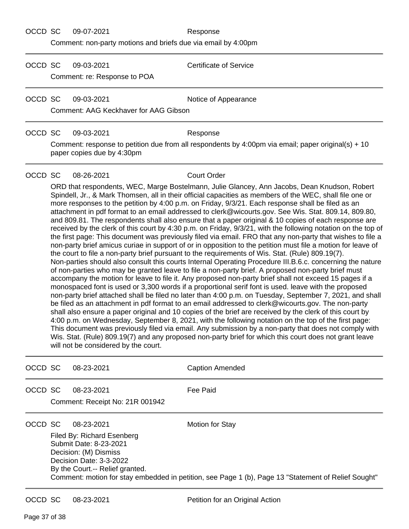OCCD SC 09-07-2021 Response

Comment: non-party motions and briefs due via email by 4:00pm

OCCD SC 09-03-2021 Certificate of Service

Comment: re: Response to POA

OCCD SC 09-03-2021 Notice of Appearance

Comment: AAG Keckhaver for AAG Gibson

### OCCD SC 09-03-2021 Response

Comment: response to petition due from all respondents by 4:00pm via email; paper original(s) + 10 paper copies due by 4:30pm

### OCCD SC 08-26-2021 Court Order

ORD that respondents, WEC, Marge Bostelmann, Julie Glancey, Ann Jacobs, Dean Knudson, Robert Spindell, Jr., & Mark Thomsen, all in their official capacities as members of the WEC, shall file one or more responses to the petition by 4:00 p.m. on Friday, 9/3/21. Each response shall be filed as an attachment in pdf format to an email addressed to clerk@wicourts.gov. See Wis. Stat. 809.14, 809.80, and 809.81. The respondents shall also ensure that a paper original & 10 copies of each response are received by the clerk of this court by 4:30 p.m. on Friday, 9/3/21, with the following notation on the top of the first page: This document was previously filed via email. FRO that any non-party that wishes to file a non-party brief amicus curiae in support of or in opposition to the petition must file a motion for leave of the court to file a non-party brief pursuant to the requirements of Wis. Stat. (Rule) 809.19(7). Non-parties should also consult this courts Internal Operating Procedure III.B.6.c. concerning the nature of non-parties who may be granted leave to file a non-party brief. A proposed non-party brief must accompany the motion for leave to file it. Any proposed non-party brief shall not exceed 15 pages if a monospaced font is used or 3,300 words if a proportional serif font is used. leave with the proposed non-party brief attached shall be filed no later than 4:00 p.m. on Tuesday, September 7, 2021, and shall be filed as an attachment in pdf format to an email addressed to clerk@wicourts.gov. The non-party shall also ensure a paper original and 10 copies of the brief are received by the clerk of this court by 4:00 p.m. on Wednesday, September 8, 2021, with the following notation on the top of the first page: This document was previously filed via email. Any submission by a non-party that does not comply with Wis. Stat. (Rule) 809.19(7) and any proposed non-party brief for which this court does not grant leave will not be considered by the court.

| OCCD SC | 08-23-2021                                                                                                                                                | <b>Caption Amended</b>                                                                                                        |
|---------|-----------------------------------------------------------------------------------------------------------------------------------------------------------|-------------------------------------------------------------------------------------------------------------------------------|
| OCCD SC | 08-23-2021<br>Comment: Receipt No: 21R 001942                                                                                                             | Fee Paid                                                                                                                      |
| OCCD SC | 08-23-2021<br>Filed By: Richard Esenberg<br>Submit Date: 8-23-2021<br>Decision: (M) Dismiss<br>Decision Date: 3-3-2022<br>By the Court.-- Relief granted. | <b>Motion for Stay</b><br>Comment: motion for stay embedded in petition, see Page 1 (b), Page 13 "Statement of Relief Sought" |